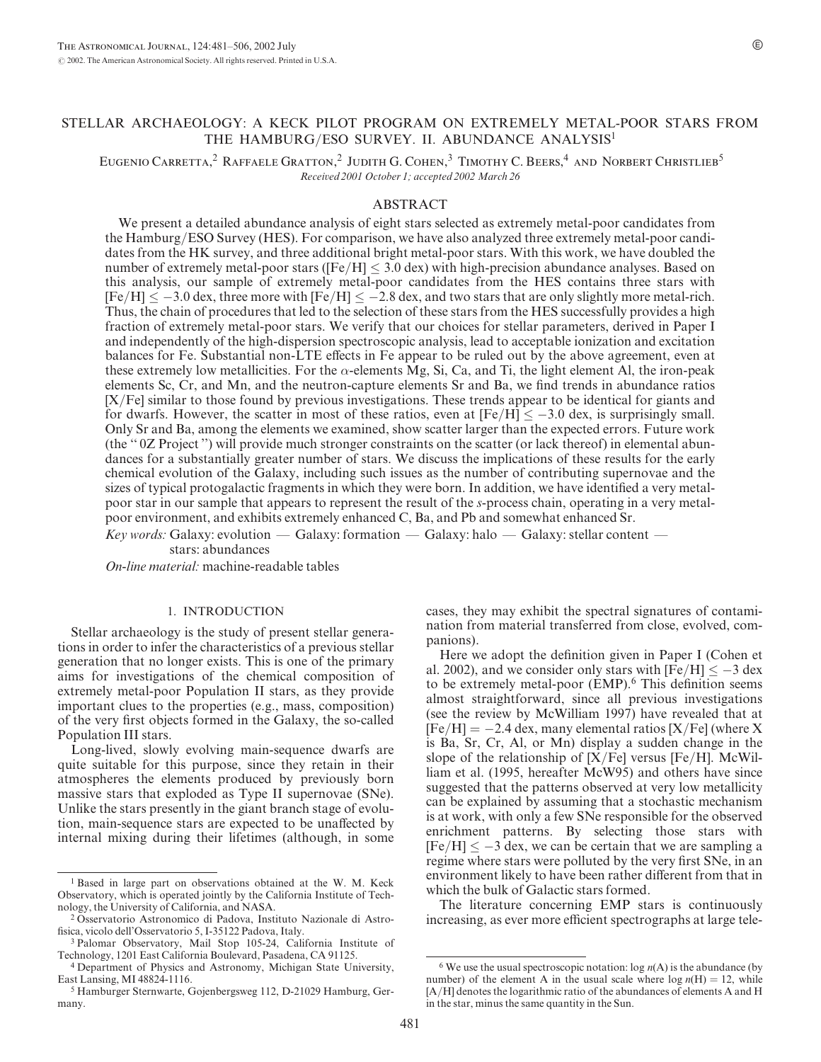# STELLAR ARCHAEOLOGY: A KECK PILOT PROGRAM ON EXTREMELY METAL-POOR STARS FROM THE HAMBURG/ESO SURVEY. II. ABUNDANCE ANALYSIS<sup>1</sup>

EUGENIO CARRETTA,<sup>2</sup> RAFFAELE GRATTON,<sup>2</sup> JUDITH G. COHEN,<sup>3</sup> TIMOTHY C. BEERS,<sup>4</sup> AND NORBERT CHRISTLIEB<sup>5</sup> Received 2001 October 1; accepted 2002 March 26

## ABSTRACT

We present a detailed abundance analysis of eight stars selected as extremely metal-poor candidates from the Hamburg/ESO Survey (HES). For comparison, we have also analyzed three extremely metal-poor candidates from the HK survey, and three additional bright metal-poor stars. With this work, we have doubled the number of extremely metal-poor stars ( $[Fe/H] \leq 3.0$  dex) with high-precision abundance analyses. Based on this analysis, our sample of extremely metal-poor candidates from the HES contains three stars with  $[Fe/H] \le -3.0$  dex, three more with  $[Fe/H] \le -2.8$  dex, and two stars that are only slightly more metal-rich. Thus, the chain of procedures that led to the selection of these stars from the HES successfully provides a high fraction of extremely metal-poor stars. We verify that our choices for stellar parameters, derived in Paper I and independently of the high-dispersion spectroscopic analysis, lead to acceptable ionization and excitation balances for Fe. Substantial non-LTE effects in Fe appear to be ruled out by the above agreement, even at these extremely low metallicities. For the  $\alpha$ -elements Mg, Si, Ca, and Ti, the light element Al, the iron-peak elements Sc, Cr, and Mn, and the neutron-capture elements Sr and Ba, we find trends in abundance ratios [X/Fe] similar to those found by previous investigations. These trends appear to be identical for giants and for dwarfs. However, the scatter in most of these ratios, even at  $[Fe/H] \le -3.0$  dex, is surprisingly small. Only Sr and Ba, among the elements we examined, show scatter larger than the expected errors. Future work (the '' 0Z Project '') will provide much stronger constraints on the scatter (or lack thereof) in elemental abundances for a substantially greater number of stars. We discuss the implications of these results for the early chemical evolution of the Galaxy, including such issues as the number of contributing supernovae and the sizes of typical protogalactic fragments in which they were born. In addition, we have identified a very metalpoor star in our sample that appears to represent the result of the s-process chain, operating in a very metalpoor environment, and exhibits extremely enhanced C, Ba, and Pb and somewhat enhanced Sr.

Key words: Galaxy: evolution — Galaxy: formation — Galaxy: halo — Galaxy: stellar content stars: abundances

On-line material: machine-readable tables

## 1. INTRODUCTION

Stellar archaeology is the study of present stellar generations in order to infer the characteristics of a previous stellar generation that no longer exists. This is one of the primary aims for investigations of the chemical composition of extremely metal-poor Population II stars, as they provide important clues to the properties (e.g., mass, composition) of the very first objects formed in the Galaxy, the so-called Population III stars.

Long-lived, slowly evolving main-sequence dwarfs are quite suitable for this purpose, since they retain in their atmospheres the elements produced by previously born massive stars that exploded as Type II supernovae (SNe). Unlike the stars presently in the giant branch stage of evolution, main-sequence stars are expected to be unaffected by internal mixing during their lifetimes (although, in some

cases, they may exhibit the spectral signatures of contamination from material transferred from close, evolved, companions).

Here we adopt the definition given in Paper I (Cohen et al. 2002), and we consider only stars with  $[Fe/H] \le -3$  dex to be extremely metal-poor  $(EMP)$ .<sup>6</sup> This definition seems almost straightforward, since all previous investigations (see the review by McWilliam 1997) have revealed that at  $[Fe/H] = -2.4$  dex, many elemental ratios  $[X/Fe]$  (where X is Ba, Sr, Cr, Al, or Mn) display a sudden change in the slope of the relationship of  $[X/Fe]$  versus [Fe/H]. McWilliam et al. (1995, hereafter McW95) and others have since suggested that the patterns observed at very low metallicity can be explained by assuming that a stochastic mechanism is at work, with only a few SNe responsible for the observed enrichment patterns. By selecting those stars with  $[Fe/H] \leq -3$  dex, we can be certain that we are sampling a regime where stars were polluted by the very first SNe, in an environment likely to have been rather different from that in which the bulk of Galactic stars formed.

The literature concerning EMP stars is continuously increasing, as ever more efficient spectrographs at large tele-

<sup>1</sup> Based in large part on observations obtained at the W. M. Keck Observatory, which is operated jointly by the California Institute of Technology, the University of California, and NASA.

<sup>2</sup> Osservatorio Astronomico di Padova, Instituto Nazionale di Astrofisica, vicolo dell'Osservatorio 5, I-35122 Padova, Italy.

<sup>3</sup> Palomar Observatory, Mail Stop 105-24, California Institute of Technology, 1201 East California Boulevard, Pasadena, CA 91125.

<sup>4</sup> Department of Physics and Astronomy, Michigan State University, East Lansing, MI 48824-1116.

<sup>5</sup> Hamburger Sternwarte, Gojenbergsweg 112, D-21029 Hamburg, Germany.

 $^6$  We use the usual spectroscopic notation: log  $n(A)$  is the abundance (by number) of the element A in the usual scale where  $log n(H) = 12$ , while [A/H] denotes the logarithmic ratio of the abundances of elements A and H in the star, minus the same quantity in the Sun.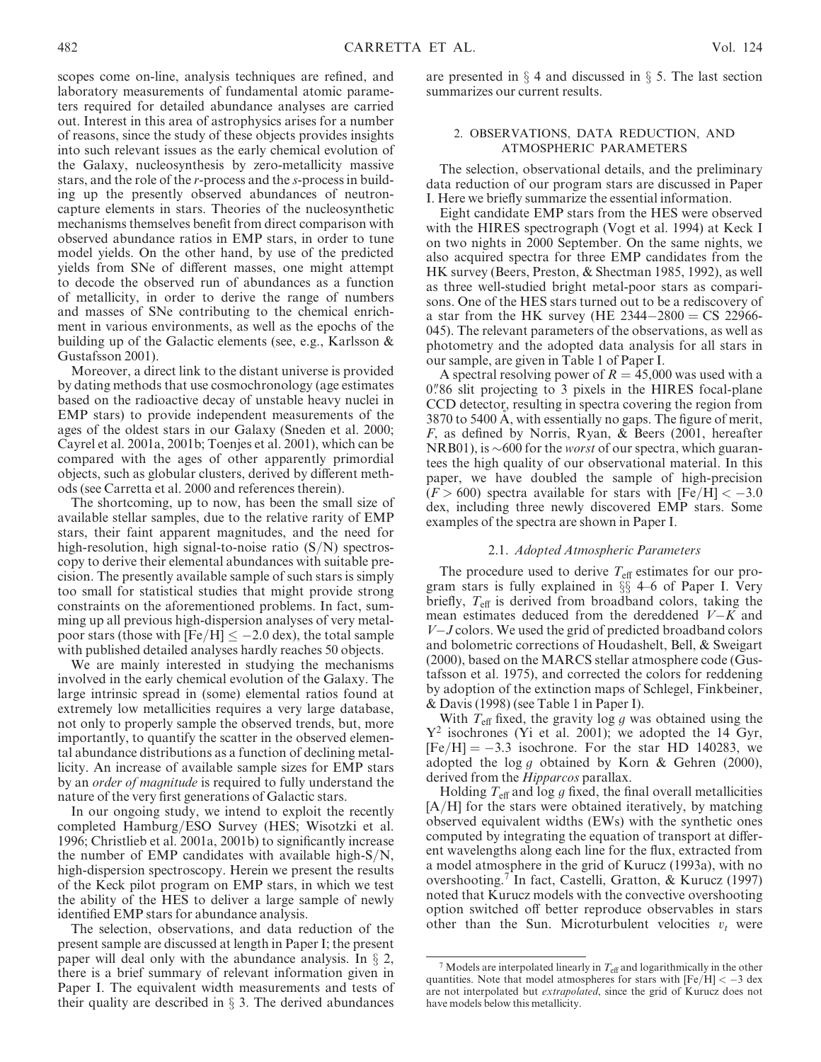scopes come on-line, analysis techniques are refined, and laboratory measurements of fundamental atomic parameters required for detailed abundance analyses are carried out. Interest in this area of astrophysics arises for a number of reasons, since the study of these objects provides insights into such relevant issues as the early chemical evolution of the Galaxy, nucleosynthesis by zero-metallicity massive stars, and the role of the r-process and the s-process in building up the presently observed abundances of neutroncapture elements in stars. Theories of the nucleosynthetic mechanisms themselves benefit from direct comparison with observed abundance ratios in EMP stars, in order to tune model yields. On the other hand, by use of the predicted yields from SNe of different masses, one might attempt to decode the observed run of abundances as a function of metallicity, in order to derive the range of numbers and masses of SNe contributing to the chemical enrichment in various environments, as well as the epochs of the building up of the Galactic elements (see, e.g., Karlsson & Gustafsson 2001).

Moreover, a direct link to the distant universe is provided by dating methods that use cosmochronology (age estimates based on the radioactive decay of unstable heavy nuclei in EMP stars) to provide independent measurements of the ages of the oldest stars in our Galaxy (Sneden et al. 2000; Cayrel et al. 2001a, 2001b; Toenjes et al. 2001), which can be compared with the ages of other apparently primordial objects, such as globular clusters, derived by different methods (see Carretta et al. 2000 and references therein).

The shortcoming, up to now, has been the small size of available stellar samples, due to the relative rarity of EMP stars, their faint apparent magnitudes, and the need for high-resolution, high signal-to-noise ratio  $(S/N)$  spectroscopy to derive their elemental abundances with suitable precision. The presently available sample of such stars is simply too small for statistical studies that might provide strong constraints on the aforementioned problems. In fact, summing up all previous high-dispersion analyses of very metalpoor stars (those with [Fe/H]  $\leq -2.0$  dex), the total sample with published detailed analyses hardly reaches 50 objects.

We are mainly interested in studying the mechanisms involved in the early chemical evolution of the Galaxy. The large intrinsic spread in (some) elemental ratios found at extremely low metallicities requires a very large database, not only to properly sample the observed trends, but, more importantly, to quantify the scatter in the observed elemental abundance distributions as a function of declining metallicity. An increase of available sample sizes for EMP stars by an *order of magnitude* is required to fully understand the nature of the very first generations of Galactic stars.

In our ongoing study, we intend to exploit the recently completed Hamburg/ESO Survey (HES; Wisotzki et al. 1996; Christlieb et al. 2001a, 2001b) to significantly increase the number of EMP candidates with available high-S/N, high-dispersion spectroscopy. Herein we present the results of the Keck pilot program on EMP stars, in which we test the ability of the HES to deliver a large sample of newly identified EMP stars for abundance analysis.

The selection, observations, and data reduction of the present sample are discussed at length in Paper I; the present paper will deal only with the abundance analysis. In  $\S$  2, there is a brief summary of relevant information given in Paper I. The equivalent width measurements and tests of their quality are described in  $\S$  3. The derived abundances are presented in  $\S$  4 and discussed in  $\S$  5. The last section summarizes our current results.

## 2. OBSERVATIONS, DATA REDUCTION, AND ATMOSPHERIC PARAMETERS

The selection, observational details, and the preliminary data reduction of our program stars are discussed in Paper I. Here we briefly summarize the essential information.

Eight candidate EMP stars from the HES were observed with the HIRES spectrograph (Vogt et al. 1994) at Keck I on two nights in 2000 September. On the same nights, we also acquired spectra for three EMP candidates from the HK survey (Beers, Preston, & Shectman 1985, 1992), as well as three well-studied bright metal-poor stars as comparisons. One of the HES stars turned out to be a rediscovery of a star from the HK survey (HE  $2344 - 2800 = CS$  22966-045). The relevant parameters of the observations, as well as photometry and the adopted data analysis for all stars in our sample, are given in Table 1 of Paper I.

A spectral resolving power of  $R = 45,000$  was used with a 0.<sup>786</sup> slit projecting to 3 pixels in the HIRES focal-plane CCD detector, resulting in spectra covering the region from 3870 to 5400 A, with essentially no gaps. The figure of merit, F, as defined by Norris, Ryan, & Beers (2001, hereafter NRB01), is  $\sim 600$  for the *worst* of our spectra, which guarantees the high quality of our observational material. In this paper, we have doubled the sample of high-precision  $(F > 600)$  spectra available for stars with  $[Fe/H] < -3.0$ dex, including three newly discovered EMP stars. Some examples of the spectra are shown in Paper I.

# 2.1. Adopted Atmospheric Parameters

The procedure used to derive  $T_{\text{eff}}$  estimates for our program stars is fully explained in  $\S$  4–6 of Paper I. Very briefly,  $T_{\text{eff}}$  is derived from broadband colors, taking the mean estimates deduced from the dereddened  $V-K$  and V-J colors. We used the grid of predicted broadband colors and bolometric corrections of Houdashelt, Bell, & Sweigart (2000), based on the MARCS stellar atmosphere code (Gustafsson et al. 1975), and corrected the colors for reddening by adoption of the extinction maps of Schlegel, Finkbeiner, & Davis (1998) (see Table 1 in Paper I).

With  $T_{\text{eff}}$  fixed, the gravity log g was obtained using the  $Y^2$  isochrones (Yi et al. 2001); we adopted the 14 Gyr,  $[Fe/H] = -3.3$  isochrone. For the star HD 140283, we adopted the log g obtained by Korn & Gehren (2000), derived from the *Hipparcos* parallax.

Holding  $T_{\text{eff}}$  and log g fixed, the final overall metallicities [A/H] for the stars were obtained iteratively, by matching observed equivalent widths (EWs) with the synthetic ones computed by integrating the equation of transport at different wavelengths along each line for the flux, extracted from a model atmosphere in the grid of Kurucz (1993a), with no overshooting.<sup>7</sup> In fact, Castelli, Gratton, & Kurucz (1997) noted that Kurucz models with the convective overshooting option switched off better reproduce observables in stars other than the Sun. Microturbulent velocities  $v_t$  were

 $7$  Models are interpolated linearly in  $T_{\text{eff}}$  and logarithmically in the other quantities. Note that model atmospheres for stars with  $[Fe/H] < -3$  dex are not interpolated but extrapolated, since the grid of Kurucz does not have models below this metallicity.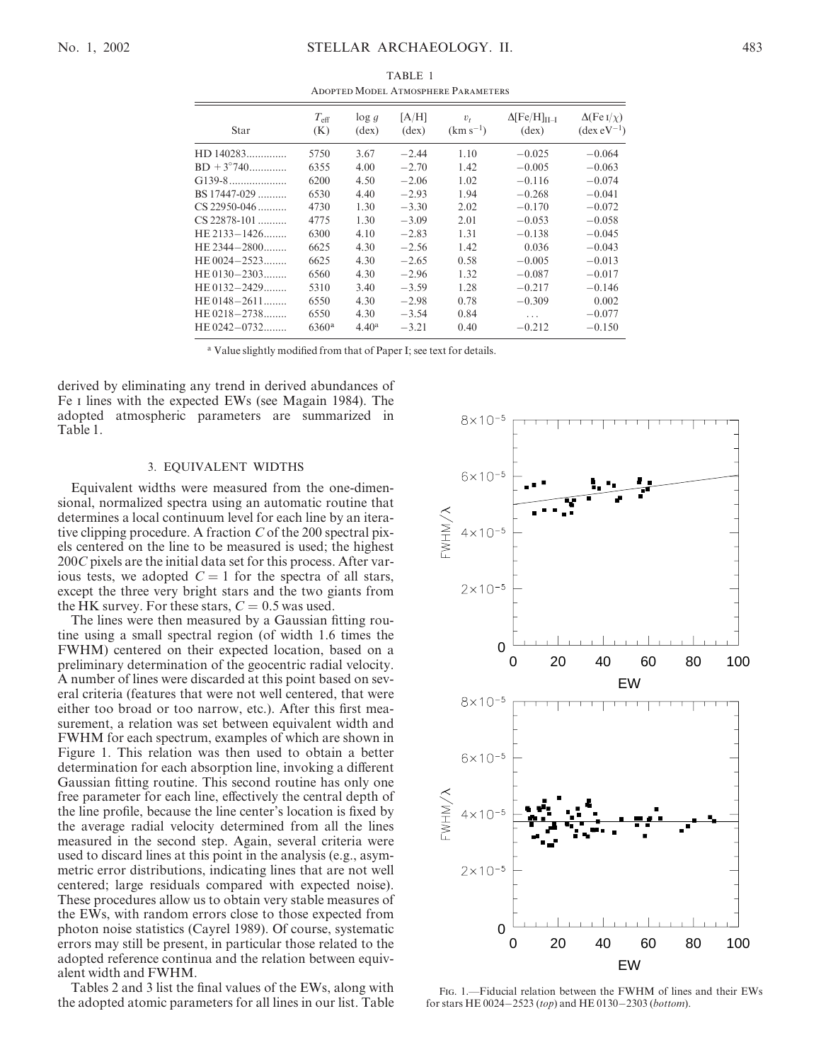|                     |                      |                            |                         | <b>ADOPTED MODEL ATMOSPHERE PARAMETERS</b> |                                                   |                                                              |
|---------------------|----------------------|----------------------------|-------------------------|--------------------------------------------|---------------------------------------------------|--------------------------------------------------------------|
| Star                | $T_{\rm eff}$<br>(K) | $\log g$<br>$(\text{dex})$ | [A/H]<br>$(\text{dex})$ | $v_{t}$<br>$(km s^{-1})$                   | $\Delta$ [Fe/H] <sub>II-I</sub><br>$(\text{dex})$ | $\Delta$ (Fe I/ $\chi$ )<br>$(\text{dex} \, \text{eV}^{-1})$ |
| $HD140283$          | 5750                 | 3.67                       | $-2.44$                 | 1.10                                       | $-0.025$                                          | $-0.064$                                                     |
| $BD + 3^{\circ}740$ | 6355                 | 4.00                       | $-2.70$                 | 1.42                                       | $-0.005$                                          | $-0.063$                                                     |
| $G139-8$            | 6200                 | 4.50                       | $-2.06$                 | 1.02                                       | $-0.116$                                          | $-0.074$                                                     |
| $BS17447-029$       | 6530                 | 4.40                       | $-2.93$                 | 1.94                                       | $-0.268$                                          | $-0.041$                                                     |
| $CS$ 22950-046      | 4730                 | 1.30                       | $-3.30$                 | 2.02                                       | $-0.170$                                          | $-0.072$                                                     |
| $CS$ 22878-101      | 4775                 | 1.30                       | $-3.09$                 | 2.01                                       | $-0.053$                                          | $-0.058$                                                     |
| $HE 2133 - 1426$    | 6300                 | 4.10                       | $-2.83$                 | 1.31                                       | $-0.138$                                          | $-0.045$                                                     |
| HE 2344-2800        | 6625                 | 4.30                       | $-2.56$                 | 1.42                                       | 0.036                                             | $-0.043$                                                     |
| $HE 0024 - 2523$    | 6625                 | 4.30                       | $-2.65$                 | 0.58                                       | $-0.005$                                          | $-0.013$                                                     |
| HE 0130-2303        | 6560                 | 4.30                       | $-2.96$                 | 1.32                                       | $-0.087$                                          | $-0.017$                                                     |
| $HE 0132 - 2429$    | 5310                 | 3.40                       | $-3.59$                 | 1.28                                       | $-0.217$                                          | $-0.146$                                                     |
| $HE 0148 - 2611$    | 6550                 | 4.30                       | $-2.98$                 | 0.78                                       | $-0.309$                                          | 0.002                                                        |
| $HE 0218 - 2738$    | 6550                 | 4.30                       | $-3.54$                 | 0.84                                       | .                                                 | $-0.077$                                                     |
| HE 0242-0732        | $6360^{\rm a}$       | 4.40 <sup>a</sup>          | $-3.21$                 | 0.40                                       | $-0.212$                                          | $-0.150$                                                     |

TABLE 1

<sup>a</sup> Value slightly modified from that of Paper I; see text for details.

derived by eliminating any trend in derived abundances of Fe i lines with the expected EWs (see Magain 1984). The adopted atmospheric parameters are summarized in Table 1.

## 3. EQUIVALENT WIDTHS

Equivalent widths were measured from the one-dimensional, normalized spectra using an automatic routine that determines a local continuum level for each line by an iterative clipping procedure. A fraction  $C$  of the 200 spectral pixels centered on the line to be measured is used; the highest 200C pixels are the initial data set for this process. After various tests, we adopted  $C = 1$  for the spectra of all stars, except the three very bright stars and the two giants from the HK survey. For these stars,  $C = 0.5$  was used.

The lines were then measured by a Gaussian fitting routine using a small spectral region (of width 1.6 times the FWHM) centered on their expected location, based on a preliminary determination of the geocentric radial velocity. A number of lines were discarded at this point based on several criteria (features that were not well centered, that were either too broad or too narrow, etc.). After this first measurement, a relation was set between equivalent width and FWHM for each spectrum, examples of which are shown in Figure 1. This relation was then used to obtain a better determination for each absorption line, invoking a different Gaussian fitting routine. This second routine has only one free parameter for each line, effectively the central depth of the line profile, because the line center's location is fixed by the average radial velocity determined from all the lines measured in the second step. Again, several criteria were used to discard lines at this point in the analysis (e.g., asymmetric error distributions, indicating lines that are not well centered; large residuals compared with expected noise). These procedures allow us to obtain very stable measures of the EWs, with random errors close to those expected from photon noise statistics (Cayrel 1989). Of course, systematic errors may still be present, in particular those related to the adopted reference continua and the relation between equivalent width and FWHM.

Tables 2 and 3 list the final values of the EWs, along with the adopted atomic parameters for all lines in our list. Table



Fig. 1.—Fiducial relation between the FWHM of lines and their EWs for stars HE 0024-2523 (top) and HE 0130-2303 (bottom).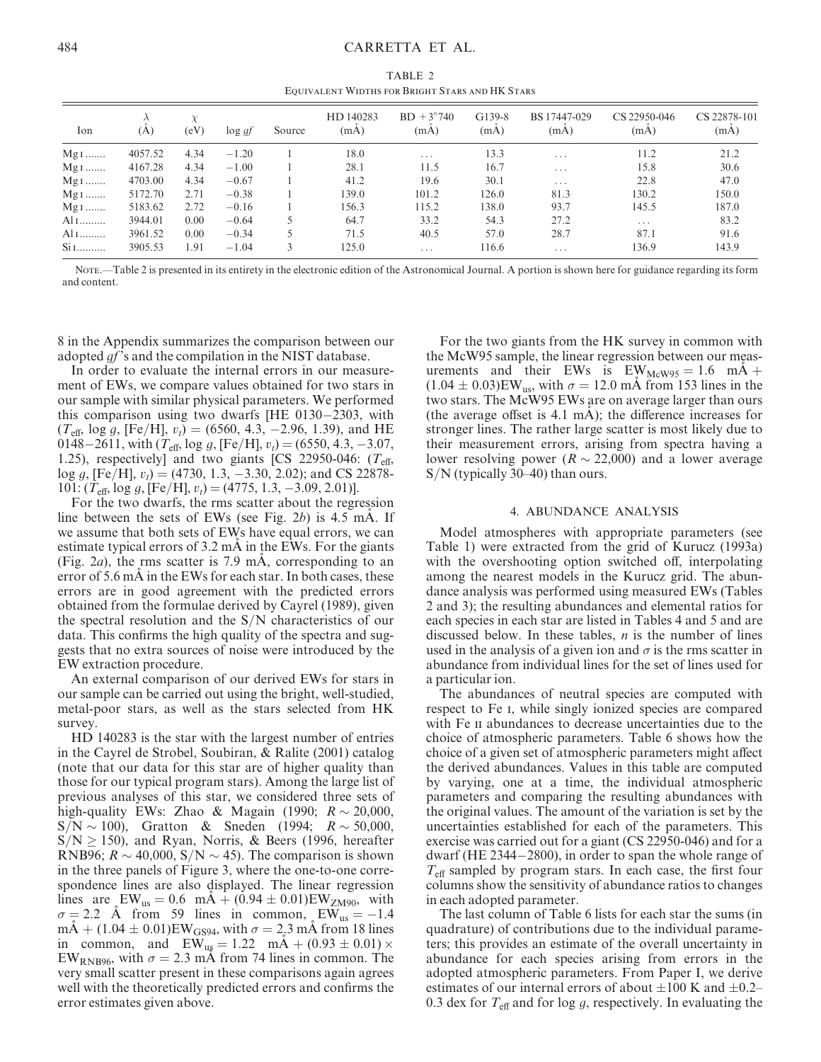TABLE 2 Equivalent Widths for Bright Stars and HK Stars

| Ion               | (A)     | X<br>(eV) | $\log gf$ | Source | HD 140283<br>(mA) | $BD + 3^{\circ}740$<br>(mA) | G139-8<br>(mA) | BS 17447-029<br>(mA)    | CS 22950-046<br>(mA)    | CS 22878-101<br>(mA) |
|-------------------|---------|-----------|-----------|--------|-------------------|-----------------------------|----------------|-------------------------|-------------------------|----------------------|
| $Mg1$             | 4057.52 | 4.34      | $-1.20$   |        | 18.0              | $\cdots$                    | 13.3           | $\cdots$                | 11.2                    | 21.2                 |
| $Mg1$             | 4167.28 | 4.34      | $-1.00$   |        | 28.1              | 11.5                        | 16.7           | $\cdots$                | 15.8                    | 30.6                 |
| $Mg1$             | 4703.00 | 4.34      | $-0.67$   |        | 41.2              | 19.6                        | 30.1           | $\cdot$ $\cdot$ $\cdot$ | 22.8                    | 47.0                 |
| $Mg1$             | 5172.70 | 2.71      | $-0.38$   |        | 139.0             | 101.2                       | 126.0          | 81.3                    | 130.2                   | 150.0                |
| $Mg1$             | 5183.62 | 2.72      | $-0.16$   |        | 156.3             | 115.2                       | 138.0          | 93.7                    | 145.5                   | 187.0                |
| $Al$ I            | 3944.01 | 0.00      | $-0.64$   |        | 64.7              | 33.2                        | 54.3           | 27.2                    | $\cdot$ $\cdot$ $\cdot$ | 83.2                 |
| $Al$ <sub>I</sub> | 3961.52 | 0.00      | $-0.34$   |        | 71.5              | 40.5                        | 57.0           | 28.7                    | 87.1                    | 91.6                 |
| $Si1$             | 3905.53 | 1.91      | $-1.04$   |        | 125.0             | $\cdots$                    | 116.6          | $\cdot$ $\cdot$ $\cdot$ | 136.9                   | 143.9                |

Note.—Table 2 is presented in its entirety in the electronic edition of the Astronomical Journal. A portion is shown here for guidance regarding its form and content.

8 in the Appendix summarizes the comparison between our adopted *qf*'s and the compilation in the NIST database.

In order to evaluate the internal errors in our measurement of EWs, we compare values obtained for two stars in our sample with similar physical parameters. We performed this comparison using two dwarfs [HE 0130-2303, with  $(T_{\text{eff}}$ , log g, [Fe/H],  $v_t$ ) = (6560, 4.3, -2.96, 1.39), and HE 0148–2611, with  $(T_{\text{eff}}$ , log g, [Fe/H],  $v_t$ ) = (6550, 4.3, -3.07, 1.25), respectively] and two giants [CS 22950-046:  $(T_{\text{eff}}$ ,  $log\ g$ , [Fe/H],  $v_t$ ) = (4730, 1.3, -3.30, 2.02); and CS 22878- $101: (T_{\text{eff}}, \log g, [\text{Fe/H}], v_t) = (4775, 1.3, -3.09, 2.01)].$ 

For the two dwarfs, the rms scatter about the regression line between the sets of EWs (see Fig. 2b) is  $4.5 \text{ mA}$ . If we assume that both sets of EWs have equal errors, we can estimate typical errors of 3.2 mA in the EWs. For the giants (Fig. 2*a*), the rms scatter is 7.9 mA, corresponding to an error of 5.6 mA in the EWs for each star. In both cases, these errors are in good agreement with the predicted errors obtained from the formulae derived by Cayrel (1989), given the spectral resolution and the S/N characteristics of our data. This confirms the high quality of the spectra and suggests that no extra sources of noise were introduced by the EW extraction procedure.

An external comparison of our derived EWs for stars in our sample can be carried out using the bright, well-studied, metal-poor stars, as well as the stars selected from HK survey.

HD 140283 is the star with the largest number of entries in the Cayrel de Strobel, Soubiran, & Ralite (2001) catalog (note that our data for this star are of higher quality than those for our typical program stars). Among the large list of previous analyses of this star, we considered three sets of high-quality EWs: Zhao & Magain (1990;  $R \sim 20,000$ ,  $S/N \sim 100$ ), Gratton & Sneden (1994;  $R \sim 50,000$ ,  $S/N \ge 150$ ), and Ryan, Norris, & Beers (1996, hereafter RNB96;  $R \sim 40,000$ ,  $S/N \sim 45$ ). The comparison is shown in the three panels of Figure 3, where the one-to-one correspondence lines are also displayed. The linear regression lines are  $EW_{us} = 0.6$  mA  $+ (0.94 \pm 0.01)EW_{ZM90}$ , with  $\sigma = 2.2$  Å from 59 lines in common,  $EW_{us} = -1.4$  $mA + (1.04 \pm 0.01)EW_{GS94}$ , with  $\sigma = 2.3$  mA from 18 lines in common, and  $EW_{us} = 1.22$  mA + (0.93  $\pm$  0.01)  $\times$ EW<sub>RNB96</sub>, with  $\sigma = 2.3$  mÅ from 74 lines in common. The very small scatter present in these comparisons again agrees well with the theoretically predicted errors and confirms the error estimates given above.

For the two giants from the HK survey in common with the McW95 sample, the linear regression between our measurements and their EWs is  $EW_{\text{MeW95}} = 1.6 \text{ mA} +$  $(1.04 \pm 0.03)$ EW<sub>us</sub>, with  $\sigma = 12.0$  mA from 153 lines in the two stars. The McW95 EWs are on average larger than ours (the average offset is  $4.1 \text{ mA}$ ); the difference increases for stronger lines. The rather large scatter is most likely due to their measurement errors, arising from spectra having a lower resolving power ( $R \sim 22,000$ ) and a lower average S/N (typically 30–40) than ours.

### 4. ABUNDANCE ANALYSIS

Model atmospheres with appropriate parameters (see Table 1) were extracted from the grid of Kurucz (1993a) with the overshooting option switched off, interpolating among the nearest models in the Kurucz grid. The abundance analysis was performed using measured EWs (Tables 2 and 3); the resulting abundances and elemental ratios for each species in each star are listed in Tables 4 and 5 and are discussed below. In these tables,  $n$  is the number of lines used in the analysis of a given ion and  $\sigma$  is the rms scatter in abundance from individual lines for the set of lines used for a particular ion.

The abundances of neutral species are computed with respect to Fe i, while singly ionized species are compared with Fe II abundances to decrease uncertainties due to the choice of atmospheric parameters. Table 6 shows how the choice of a given set of atmospheric parameters might affect the derived abundances. Values in this table are computed by varying, one at a time, the individual atmospheric parameters and comparing the resulting abundances with the original values. The amount of the variation is set by the uncertainties established for each of the parameters. This exercise was carried out for a giant (CS 22950-046) and for a dwarf (HE 2344-2800), in order to span the whole range of  $T_{\text{eff}}$  sampled by program stars. In each case, the first four columns show the sensitivity of abundance ratios to changes in each adopted parameter.

The last column of Table 6 lists for each star the sums (in quadrature) of contributions due to the individual parameters; this provides an estimate of the overall uncertainty in abundance for each species arising from errors in the adopted atmospheric parameters. From Paper I, we derive estimates of our internal errors of about  $\pm 100$  K and  $\pm 0.2$ – 0.3 dex for  $T_{\text{eff}}$  and for log g, respectively. In evaluating the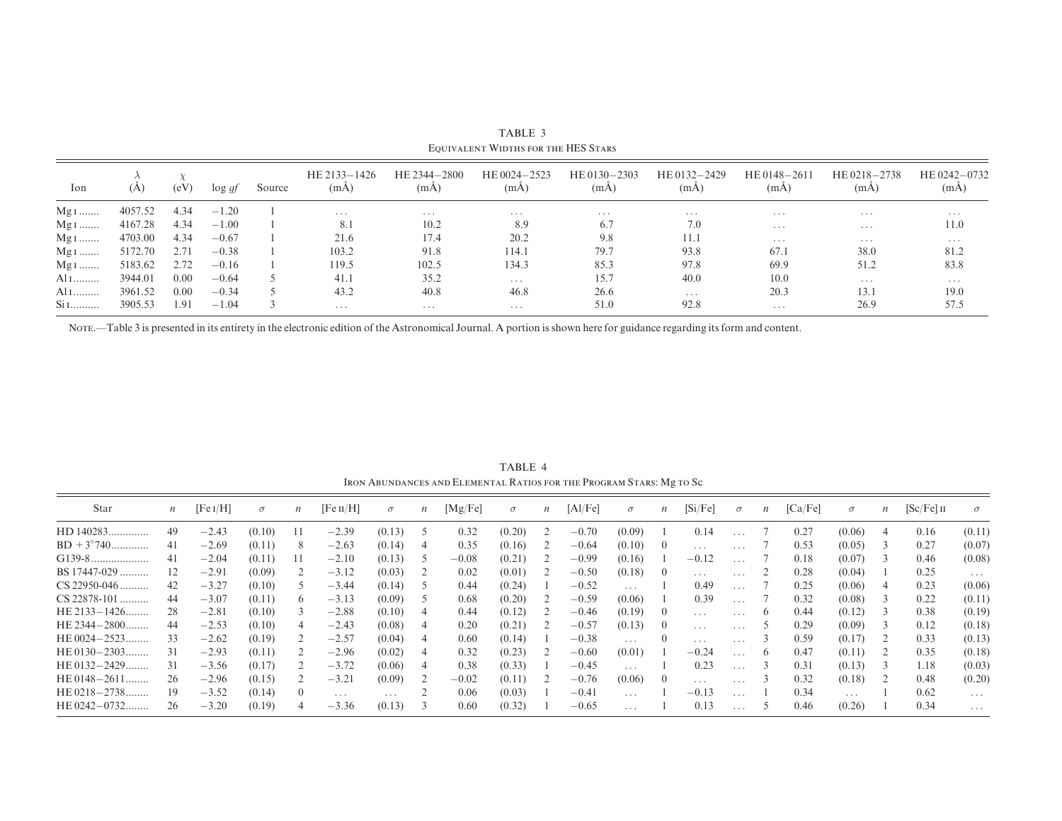| Ion             | (A)     | (eV) | $\log gt$ | Source | HE 2133-1426<br>(mA) | HE 2344-2800<br>(mA) | HE 0024-2523<br>(mA) | HE $0130 - 2303$<br>(mA) | HE 0132-2429<br>(mA) | HE 0148-2611<br>(mA) | HE 0218-2738<br>(mA) | HE 0242-0732<br>(mA) |
|-----------------|---------|------|-----------|--------|----------------------|----------------------|----------------------|--------------------------|----------------------|----------------------|----------------------|----------------------|
| $Mg1$           | 4057.52 | 4.34 | $-1.20$   |        | $\cdots$             | $\cdots$             | .                    | $\cdots$                 | $\cdots$             | $\cdots$             | $\cdots$             | $\cdots$             |
| $Mg1$           | 4167.28 | 4.34 | $-1.00$   |        | 8.1                  | 10.2                 | 8.9                  | 6.7                      | 7.0                  | .                    | $\cdots$             | 11.0                 |
| $Mg1$           | 4703.00 | 4.34 | $-0.67$   |        | 21.6                 | 17.4                 | 20.2                 | 9.8                      | 11.1                 | $\cdots$             | $\cdots$             | $\cdots$             |
| $Mg1$           | 5172.70 | 2.71 | $-0.38$   |        | 103.2                | 91.8                 | 114.1                | 79.7                     | 93.8                 | 67.1                 | 38.0                 | 81.2                 |
| $Mg1$           | 5183.62 | 2.72 | $-0.16$   |        | 119.5                | 102.5                | 134.3                | 85.3                     | 97.8                 | 69.9                 | 51.2                 | 83.8                 |
| Al 1            | 3944.01 | 0.00 | $-0.64$   |        | 41.1                 | 35.2                 | $\cdots$             | 15.7                     | 40.0                 | 10.0                 | $\cdots$             | $\cdots$             |
| $\mathrm{Al}$ I | 3961.52 | 0.00 | $-0.34$   |        | 43.2                 | 40.8                 | 46.8                 | 26.6                     | $\cdots$             | 20.3                 | 13.1                 | 19.0                 |
| $Si$ I          | 3905.53 | 1.91 | $-1.04$   |        | $\cdots$             | $\cdots$             | .                    | 51.0                     | 92.8                 | .                    | 26.9                 | 57.5                 |

TABLE 3 Equivalent Widths for the HES Stars

Note.—Table 3 is presented in its entirety in the electronic edition of the Astronomical Journal. A portion is shown here for guidance regarding its form and content.

TABLE 4Iron Abundances and Elemental Ratios for the Program Stars: Mg to S<sup>c</sup>

| Star                | $\boldsymbol{n}$ | [Fe I/H] | $\sigma$ | $\boldsymbol{n}$ | [Fe II/H] | $\sigma$ | $\boldsymbol{n}$ | [Mg/Fe] | $\sigma$ | $\boldsymbol{n}$ | [A1/Fe] | $\sigma$                | $\boldsymbol{n}$ | [Si/Fe]                 | $\sigma$ | $\boldsymbol{n}$ | [Ca/Fe] | $\sigma$                | $\boldsymbol{n}$ | $[Sc/Fe]$ II | $\sigma$                |
|---------------------|------------------|----------|----------|------------------|-----------|----------|------------------|---------|----------|------------------|---------|-------------------------|------------------|-------------------------|----------|------------------|---------|-------------------------|------------------|--------------|-------------------------|
| HD 140283.          | 49               | $-2.43$  | (0.10)   |                  | $-2.39$   | (0.13)   |                  | 0.32    | (0.20)   |                  | $-0.70$ | (0.09)                  |                  | 0.14                    |          |                  | 0.27    | (0.06)                  |                  | 0.16         | (0.11)                  |
| $BD + 3^{\circ}740$ | 41               | $-2.69$  | (0.11)   | 8                | $-2.63$   | (0.14)   | 4                | 0.35    | (0.16)   |                  | $-0.64$ | (0.10)                  | $\theta$         | $\cdot$ $\cdot$ $\cdot$ | .        |                  | 0.53    | (0.05)                  | $\Delta$         | 0.27         | (0.07)                  |
| $G139-8.$           | 41               | $-2.04$  | (0.11)   |                  | $-2.10$   | (0.13)   |                  | $-0.08$ | (0.21)   |                  | $-0.99$ | (0.16)                  |                  | $-0.12$                 | .        |                  | 0.18    | (0.07)                  |                  | 0.46         | (0.08)                  |
| BS 17447-029        | 12               | $-2.91$  | (0.09)   |                  | $-3.12$   | (0.03)   |                  | 0.02    | (0.01)   |                  | $-0.50$ | (0.18)                  |                  | $\cdots$                |          |                  | 0.28    | (0.04)                  |                  | 0.25         | $\cdots$                |
| $CS$ 22950-046      | 42               | $-3.27$  | (0.10)   |                  | $-3.44$   | (0.14)   |                  | 0.44    | (0.24)   |                  | $-0.52$ | $\cdots$                |                  | 0.49                    | $\cdots$ |                  | 0.25    | (0.06)                  |                  | 0.23         | (0.06)                  |
| $CS$ 22878-101      | 44               | $-3.07$  | (0.11)   | <sub>(</sub>     | $-3.13$   | (0.09)   |                  | 0.68    | (0.20)   |                  | $-0.59$ | (0.06)                  |                  | 0.39                    |          |                  | 0.32    | (0.08)                  |                  | 0.22         | (0.11)                  |
| $HE 2133 - 1426$    | 28               | $-2.81$  | (0.10)   |                  | $-2.88$   | (0.10)   |                  | 0.44    | (0.12)   |                  | $-0.46$ | (0.19)                  |                  | $\cdots$                | .        |                  | 0.44    | (0.12)                  |                  | 0.38         | (0.19)                  |
| HE 2344-2800        | 44               | $-2.53$  | (0.10)   |                  | $-2.43$   | (0.08)   |                  | 0.20    | (0.21)   |                  | $-0.57$ | (0.13)                  |                  | $\cdots$                | $\cdots$ |                  | 0.29    | (0.09)                  |                  | 0.12         | (0.18)                  |
| HE $0024 - 2523$    | 33               | $-2.62$  | (0.19)   |                  | $-2.57$   | (0.04)   |                  | 0.60    | (0.14)   |                  | $-0.38$ | $\cdots$                |                  | $\cdot$ $\cdot$ $\cdot$ |          |                  | 0.59    | (0.17)                  |                  | 0.33         | (0.13)                  |
| HE 0130-2303.       | 31               | $-2.93$  | (0.11)   |                  | $-2.96$   | (0.02)   | 4                | 0.32    | (0.23)   |                  | $-0.60$ | (0.01)                  |                  | $-0.24$                 |          |                  | 0.47    | (0.11)                  |                  | 0.35         | (0.18)                  |
| $HE 0132 - 2429$    | 31               | $-3.56$  | (0.17)   |                  | $-3.72$   | (0.06)   |                  | 0.38    | (0.33)   |                  | $-0.45$ | $\cdots$                |                  | 0.23                    | $\cdots$ |                  | 0.31    | (0.13)                  |                  | 1.18         | (0.03)                  |
| $HE 0148 - 2611$    | 26               | $-2.96$  | (0.15)   |                  | $-3.21$   | (0.09)   |                  | $-0.02$ | (0.11)   |                  | $-0.76$ | (0.06)                  |                  | $\cdots$                | $\cdots$ |                  | 0.32    | (0.18)                  |                  | 0.48         | (0.20)                  |
| HE 0218-2738        | 19               | $-3.52$  | (0.14)   | $\left( \right)$ | .         | $\cdots$ |                  | 0.06    | (0.03)   |                  | $-0.41$ | $\cdots$                |                  | $-0.13$                 | $\cdots$ |                  | 0.34    | $\cdot$ $\cdot$ $\cdot$ |                  | 0.62         | $\cdots$                |
| HE $0242 - 0732$    | 26               | $-3.20$  | (0.19)   |                  | $-3.36$   | (0.13)   |                  | 0.60    | (0.32)   |                  | $-0.65$ | $\cdot$ $\cdot$ $\cdot$ |                  | 0.13                    |          |                  | 0.46    | (0.26)                  |                  | 0.34         | $\cdot$ $\cdot$ $\cdot$ |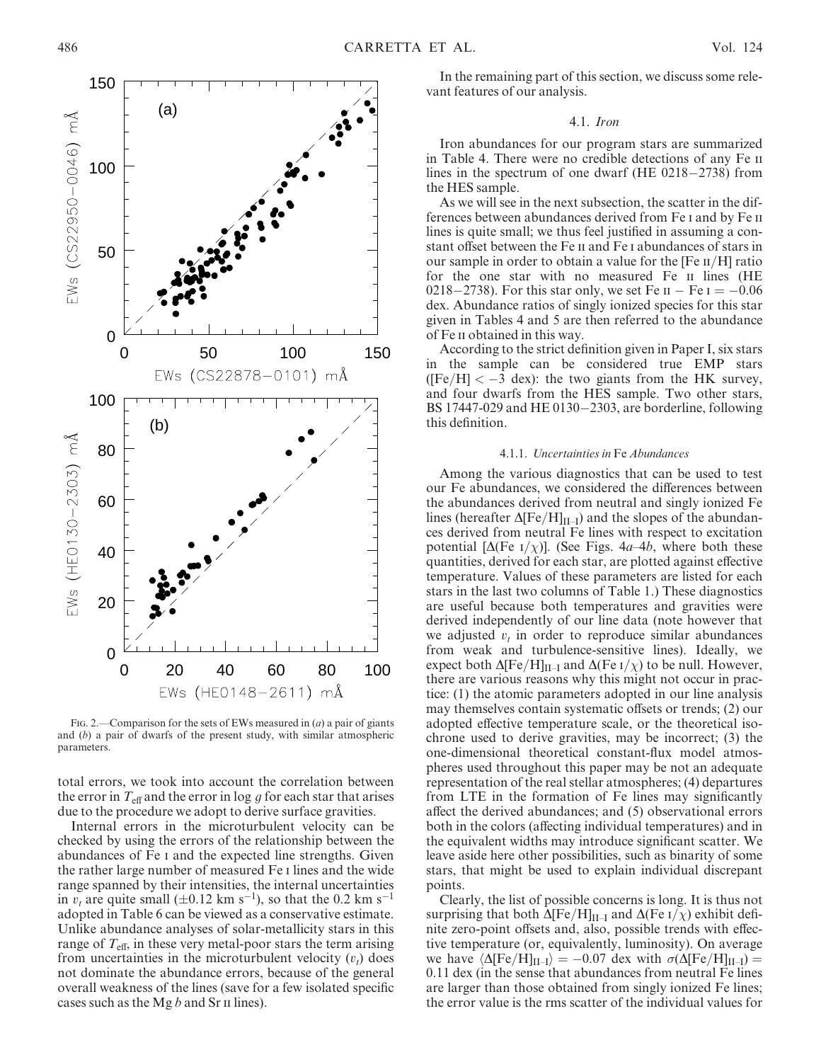

FIG. 2.—Comparison for the sets of EWs measured in  $(a)$  a pair of giants and (b) a pair of dwarfs of the present study, with similar atmospheric parameters.

total errors, we took into account the correlation between the error in  $T_{\text{eff}}$  and the error in log g for each star that arises due to the procedure we adopt to derive surface gravities.

Internal errors in the microturbulent velocity can be checked by using the errors of the relationship between the abundances of Fe i and the expected line strengths. Given the rather large number of measured Fe i lines and the wide range spanned by their intensities, the internal uncertainties in  $v_t$  are quite small ( $\pm 0.12$  km s<sup>-1</sup>), so that the 0.2 km s<sup>-1</sup> adopted in Table 6 can be viewed as a conservative estimate. Unlike abundance analyses of solar-metallicity stars in this range of  $T_{\text{eff}}$ , in these very metal-poor stars the term arising from uncertainties in the microturbulent velocity  $(v_t)$  does not dominate the abundance errors, because of the general overall weakness of the lines (save for a few isolated specific cases such as the Mg  $b$  and Sr  $\pi$  lines).

In the remaining part of this section, we discuss some relevant features of our analysis.

#### 4.1. Iron

Iron abundances for our program stars are summarized in Table 4. There were no credible detections of any Fe ii lines in the spectrum of one dwarf (HE 0218-2738) from the HES sample.

As we will see in the next subsection, the scatter in the differences between abundances derived from Fe i and by Fe ii lines is quite small; we thus feel justified in assuming a constant offset between the Fe ii and Fe i abundances of stars in our sample in order to obtain a value for the  $[Fe II/H]$  ratio for the one star with no measured Fe ii lines (HE 0218–2738). For this star only, we set Fe  $II - Fe I = -0.06$ dex. Abundance ratios of singly ionized species for this star given in Tables 4 and 5 are then referred to the abundance of Fe ii obtained in this way.

According to the strict definition given in Paper I, six stars in the sample can be considered true EMP stars ([Fe/H]  $< -3$  dex): the two giants from the HK survey, and four dwarfs from the HES sample. Two other stars, BS 17447-029 and HE 0130-2303, are borderline, following this definition.

#### 4.1.1. Uncertainties in Fe Abundances

Among the various diagnostics that can be used to test our Fe abundances, we considered the differences between the abundances derived from neutral and singly ionized Fe lines (hereafter  $\Delta$ [Fe/H]<sub>II–I</sub>) and the slopes of the abundances derived from neutral Fe lines with respect to excitation potential [ $\Delta$ (Fe I/ $\chi$ )]. (See Figs. 4a–4b, where both these quantities, derived for each star, are plotted against effective temperature. Values of these parameters are listed for each stars in the last two columns of Table 1.) These diagnostics are useful because both temperatures and gravities were derived independently of our line data (note however that we adjusted  $v_t$  in order to reproduce similar abundances from weak and turbulence-sensitive lines). Ideally, we expect both  $\Delta [Fe/H]_{II-I}$  and  $\Delta (Fe I/\chi)$  to be null. However, there are various reasons why this might not occur in practice: (1) the atomic parameters adopted in our line analysis may themselves contain systematic offsets or trends; (2) our adopted effective temperature scale, or the theoretical isochrone used to derive gravities, may be incorrect; (3) the one-dimensional theoretical constant-flux model atmospheres used throughout this paper may be not an adequate representation of the real stellar atmospheres; (4) departures from LTE in the formation of Fe lines may significantly affect the derived abundances; and (5) observational errors both in the colors (affecting individual temperatures) and in the equivalent widths may introduce significant scatter. We leave aside here other possibilities, such as binarity of some stars, that might be used to explain individual discrepant points.

Clearly, the list of possible concerns is long. It is thus not surprising that both  $\Delta$ [Fe/H]<sub>II-I</sub> and  $\Delta$ (Fe I/ $\chi$ ) exhibit definite zero-point offsets and, also, possible trends with effective temperature (or, equivalently, luminosity). On average we have  $\langle \Delta$ [Fe/H]<sub>II–I</sub> $\rangle = -0.07$  dex with  $\sigma$ ( $\Delta$ [Fe/H]<sub>II–I</sub> $) =$ 0.11 dex (in the sense that abundances from neutral Fe lines are larger than those obtained from singly ionized Fe lines; the error value is the rms scatter of the individual values for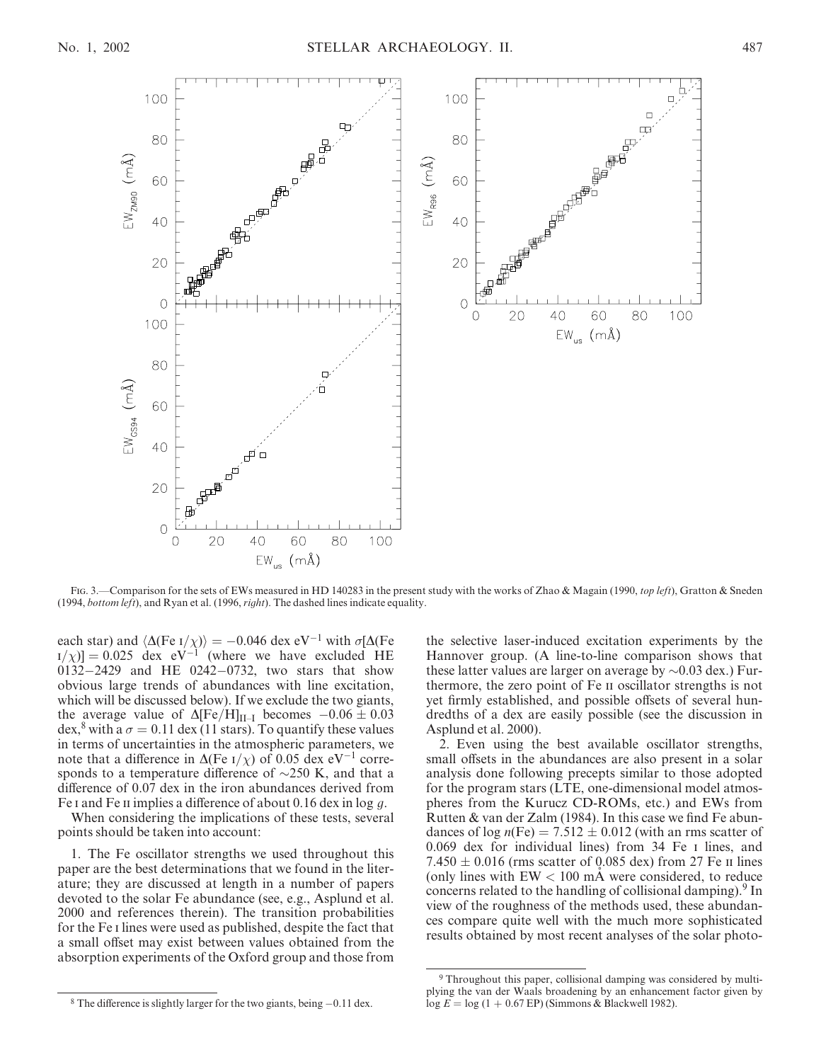

Fig. 3.—Comparison for the sets of EWs measured in HD 140283 in the present study with the works of Zhao & Magain (1990, top left), Gratton & Sneden (1994, bottom left), and Ryan et al. (1996,  $right)$ . The dashed lines indicate equality.

each star) and  $\langle \Delta$ (Fe I/ $\chi$ ) = -0.046 dex eV<sup>-1</sup> with  $\sigma$ [ $\Delta$ (Fe  $\left[1/\chi\right] = 0.025$  dex eV<sup>-1</sup> (where we have excluded HE 0132-2429 and HE 0242-0732, two stars that show obvious large trends of abundances with line excitation, which will be discussed below). If we exclude the two giants, the average value of  $\Delta$ [Fe/H]<sub>II–I</sub> becomes  $-0.06 \pm 0.03$ dex,<sup>8</sup> with a  $\sigma = 0.11$  dex (11 stars). To quantify these values in terms of uncertainties in the atmospheric parameters, we note that a difference in  $\Delta$ (Fe I/ $\chi$ ) of 0.05 dex eV<sup>-1</sup> corresponds to a temperature difference of  $\sim$ 250 K, and that a difference of 0.07 dex in the iron abundances derived from Fe I and Fe II implies a difference of about 0.16 dex in log q.

When considering the implications of these tests, several points should be taken into account:

1. The Fe oscillator strengths we used throughout this paper are the best determinations that we found in the literature; they are discussed at length in a number of papers devoted to the solar Fe abundance (see, e.g., Asplund et al. 2000 and references therein). The transition probabilities for the Fe i lines were used as published, despite the fact that a small offset may exist between values obtained from the absorption experiments of the Oxford group and those from the selective laser-induced excitation experiments by the Hannover group. (A line-to-line comparison shows that these latter values are larger on average by  $\sim 0.03$  dex.) Furthermore, the zero point of Fe ii oscillator strengths is not yet firmly established, and possible offsets of several hundredths of a dex are easily possible (see the discussion in Asplund et al. 2000).

2. Even using the best available oscillator strengths, small offsets in the abundances are also present in a solar analysis done following precepts similar to those adopted for the program stars (LTE, one-dimensional model atmospheres from the Kurucz CD-ROMs, etc.) and EWs from Rutten & van der Zalm (1984). In this case we find Fe abundances of  $log n(Fe) = 7.512 \pm 0.012$  (with an rms scatter of 0.069 dex for individual lines) from 34 Fe i lines, and  $7.450 \pm 0.016$  (rms scatter of 0.085 dex) from 27 Fe II lines (only lines with  $EW < 100$  mÅ were considered, to reduce concerns related to the handling of collisional damping).<sup>9</sup> In view of the roughness of the methods used, these abundances compare quite well with the much more sophisticated results obtained by most recent analyses of the solar photo-

 $8$  The difference is slightly larger for the two giants, being  $-0.11$  dex.

<sup>9</sup> Throughout this paper, collisional damping was considered by multiplying the van der Waals broadening by an enhancement factor given by log  $E = \log(1 + 0.67 \text{ EP})$  (Simmons & Blackwell 1982).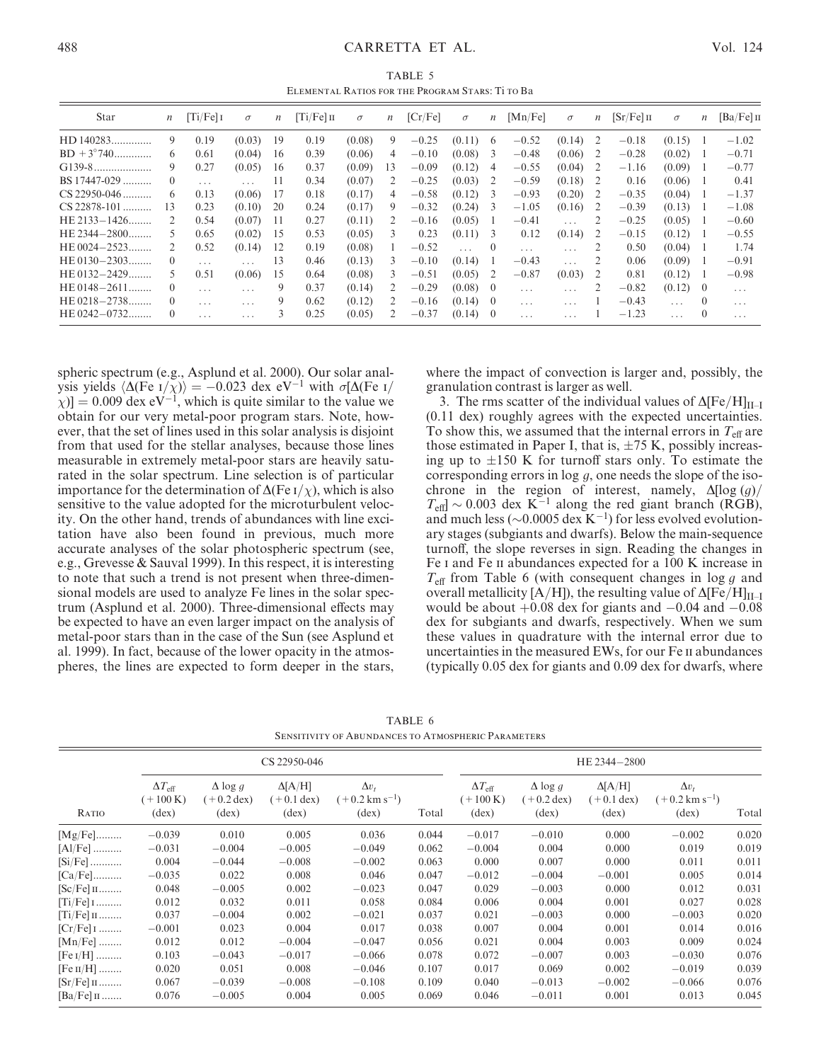TABLE 5 Elemental Ratios for the Program Stars: Ti to Ba

| Star                | $\boldsymbol{n}$ | $[Ti/Fe]$ I | $\sigma$ | $\boldsymbol{n}$ | $[Ti/Fe]$ II | $\sigma$ | $\boldsymbol{n}$ | [Cr/Fe] | $\sigma$ | $\boldsymbol{n}$ | [Mn/Fe]  | $\sigma$                | $\boldsymbol{n}$ | $[Sr/Fe]$ II | $\sigma$ | $\boldsymbol{n}$ | $[Ba/Fe]$ II |
|---------------------|------------------|-------------|----------|------------------|--------------|----------|------------------|---------|----------|------------------|----------|-------------------------|------------------|--------------|----------|------------------|--------------|
| HD 140283.          | 9                | 0.19        | (0.03)   | 19               | 0.19         | (0.08)   | 9                | $-0.25$ | (0.11)   | 6                | $-0.52$  | (0.14)                  |                  | $-0.18$      | (0.15)   |                  | $-1.02$      |
| $BD + 3^{\circ}740$ | 6                | 0.61        | (0.04)   | 16               | 0.39         | (0.06)   | 4                | $-0.10$ | (0.08)   | 3                | $-0.48$  | (0.06)                  |                  | $-0.28$      | (0.02)   |                  | $-0.71$      |
|                     | 9                | 0.27        | (0.05)   | 16               | 0.37         | (0.09)   | 13               | $-0.09$ | (0.12)   | 4                | $-0.55$  | (0.04)                  |                  | $-1.16$      | (0.09)   |                  | $-0.77$      |
| BS 17447-029        | $\overline{0}$   | .           | $\cdots$ | 11               | 0.34         | (0.07)   | 2                | $-0.25$ | (0.03)   | 2                | $-0.59$  | (0.18)                  |                  | 0.16         | (0.06)   |                  | 0.41         |
| $CS$ 22950-046      | 6                | 0.13        | (0.06)   | 17               | 0.18         | (0.17)   | 4                | $-0.58$ | (0.12)   | 3                | $-0.93$  | (0.20)                  |                  | $-0.35$      | (0.04)   |                  | $-1.37$      |
| $CS$ 22878-101      | 13               | 0.23        | (0.10)   | 20               | 0.24         | (0.17)   | 9                | $-0.32$ | (0.24)   | 3                | $-1.05$  | (0.16)                  |                  | $-0.39$      | (0.13)   |                  | $-1.08$      |
| $HE 2133 - 1426$    |                  | 0.54        | (0.07)   | 11               | 0.27         | (0.11)   |                  | $-0.16$ | (0.05)   |                  | $-0.41$  | $\cdots$                |                  | $-0.25$      | (0.05)   |                  | $-0.60$      |
| HE $2344 - 2800$ .  | 5                | 0.65        | (0.02)   | 15               | 0.53         | (0.05)   | 3                | 0.23    | (0.11)   | 3                | 0.12     | (0.14)                  |                  | $-0.15$      | (0.12)   |                  | $-0.55$      |
| HE 0024-2523        | 2                | 0.52        | (0.14)   | 12               | 0.19         | (0.08)   |                  | $-0.52$ | $\cdots$ | $\theta$         | $\cdots$ | .                       |                  | 0.50         | (0.04)   |                  | 1.74         |
| $HE 0130 - 2303$    | $\Omega$         | .           | $\cdots$ | 13               | 0.46         | (0.13)   | 3                | $-0.10$ | (0.14)   |                  | $-0.43$  | $\cdots$                |                  | 0.06         | (0.09)   |                  | $-0.91$      |
| HE $0132 - 2429$    | 5                | 0.51        | (0.06)   | 15               | 0.64         | (0.08)   | 3                | $-0.51$ | (0.05)   |                  | $-0.87$  | (0.03)                  |                  | 0.81         | (0.12)   |                  | $-0.98$      |
| $HE 0148 - 2611$    | $\theta$         | $\cdots$    | $\cdots$ | 9                | 0.37         | (0.14)   |                  | $-0.29$ | (0.08)   | $\left( \right)$ | $\cdots$ | .                       |                  | $-0.82$      | (0.12)   | $\theta$         | $\cdots$     |
| $HE 0218 - 2738$    | $\theta$         | .           | $\cdots$ | 9                | 0.62         | (0.12)   |                  | $-0.16$ | (0.14)   | $\theta$         | .        | $\cdot$ $\cdot$ $\cdot$ |                  | $-0.43$      | $\cdots$ | $\Omega$         | $\cdots$     |
| HE 0242-0732.       | $\Omega$         | .           | .        |                  | 0.25         | (0.05)   |                  | $-0.37$ | (0.14)   | $\theta$         | .        | .                       |                  | $-1.23$      | .        |                  | .            |

spheric spectrum (e.g., Asplund et al. 2000). Our solar analysis yields  $\langle \Delta$ (Fe I/ $\chi$ )) = -0.023 dex eV<sup>-1</sup> with  $\sigma$ [ $\Delta$ (Fe I/  $[\chi]$  = 0.009 dex eV<sup>-1</sup>, which is quite similar to the value we obtain for our very metal-poor program stars. Note, however, that the set of lines used in this solar analysis is disjoint from that used for the stellar analyses, because those lines measurable in extremely metal-poor stars are heavily saturated in the solar spectrum. Line selection is of particular importance for the determination of  $\Delta$ (Fe I/ $\chi$ ), which is also sensitive to the value adopted for the microturbulent velocity. On the other hand, trends of abundances with line excitation have also been found in previous, much more accurate analyses of the solar photospheric spectrum (see, e.g., Grevesse & Sauval 1999). In this respect, it is interesting to note that such a trend is not present when three-dimensional models are used to analyze Fe lines in the solar spectrum (Asplund et al. 2000). Three-dimensional effects may be expected to have an even larger impact on the analysis of metal-poor stars than in the case of the Sun (see Asplund et al. 1999). In fact, because of the lower opacity in the atmospheres, the lines are expected to form deeper in the stars, where the impact of convection is larger and, possibly, the granulation contrast is larger as well.

3. The rms scatter of the individual values of  $\Delta [Fe/H]_{II-I}$ (0.11 dex) roughly agrees with the expected uncertainties. To show this, we assumed that the internal errors in  $T_{\text{eff}}$  are those estimated in Paper I, that is,  $\pm 75$  K, possibly increasing up to  $\pm 150$  K for turnoff stars only. To estimate the corresponding errors in  $log\ g$ , one needs the slope of the isochrone in the region of interest, namely,  $\Delta[\log(g)]$  $T_{\text{eff}}$  ~ 0.003 dex K<sup>-1</sup> along the red giant branch (RGB), and much less ( $\sim$ 0.0005 dex K<sup>-1</sup>) for less evolved evolutionary stages (subgiants and dwarfs). Below the main-sequence turnoff, the slope reverses in sign. Reading the changes in Fe i and Fe ii abundances expected for a 100 K increase in  $T_{\text{eff}}$  from Table 6 (with consequent changes in log g and overall metallicity [A/H]), the resulting value of  $\Delta [Fe/H]_{II-I}$ would be about  $+0.08$  dex for giants and  $-0.04$  and  $-0.08$ dex for subgiants and dwarfs, respectively. When we sum these values in quadrature with the internal error due to uncertainties in the measured EWs, for our Fe ii abundances (typically 0.05 dex for giants and 0.09 dex for dwarfs, where

TABLE 6 Sensitivity of Abundances to Atmospheric Parameters

|                       |                                                      |                                                           | CS 22950-046                                             |                                                              |       |                                                      |                                                           | HE 2344-2800                                             |                                                              |       |
|-----------------------|------------------------------------------------------|-----------------------------------------------------------|----------------------------------------------------------|--------------------------------------------------------------|-------|------------------------------------------------------|-----------------------------------------------------------|----------------------------------------------------------|--------------------------------------------------------------|-------|
| RATIO                 | $\Delta T_{\rm eff}$<br>$(+100 K)$<br>$(\text{dex})$ | $\Delta \log g$<br>$(+0.2 \text{ dex})$<br>$(\text{dex})$ | $\Delta$ [A/H]<br>$(+0.1 \text{ dex})$<br>$(\text{dex})$ | $\Delta v_t$<br>$(+0.2 \text{ km s}^{-1})$<br>$(\text{dex})$ | Total | $\Delta T_{\rm eff}$<br>$(+100 K)$<br>$(\text{dex})$ | $\Delta \log g$<br>$(+0.2 \text{ dex})$<br>$(\text{dex})$ | $\Delta$ [A/H]<br>$(+0.1 \text{ dex})$<br>$(\text{dex})$ | $\Delta v_t$<br>$(+0.2 \text{ km s}^{-1})$<br>$(\text{dex})$ | Total |
| $[Mg/Fe]$             | $-0.039$                                             | 0.010                                                     | 0.005                                                    | 0.036                                                        | 0.044 | $-0.017$                                             | $-0.010$                                                  | 0.000                                                    | $-0.002$                                                     | 0.020 |
| $[A1/Fe]$             | $-0.031$                                             | $-0.004$                                                  | $-0.005$                                                 | $-0.049$                                                     | 0.062 | $-0.004$                                             | 0.004                                                     | 0.000                                                    | 0.019                                                        | 0.019 |
| $[Si/Fe]$             | 0.004                                                | $-0.044$                                                  | $-0.008$                                                 | $-0.002$                                                     | 0.063 | 0.000                                                | 0.007                                                     | 0.000                                                    | 0.011                                                        | 0.011 |
| $[Ca/Fe]$             | $-0.035$                                             | 0.022                                                     | 0.008                                                    | 0.046                                                        | 0.047 | $-0.012$                                             | $-0.004$                                                  | $-0.001$                                                 | 0.005                                                        | 0.014 |
| $[Sc/Fe]$ $\text{II}$ | 0.048                                                | $-0.005$                                                  | 0.002                                                    | $-0.023$                                                     | 0.047 | 0.029                                                | $-0.003$                                                  | 0.000                                                    | 0.012                                                        | 0.031 |
| $[Ti/Fe]$ $1$         | 0.012                                                | 0.032                                                     | 0.011                                                    | 0.058                                                        | 0.084 | 0.006                                                | 0.004                                                     | 0.001                                                    | 0.027                                                        | 0.028 |
| $[Ti/Fe]$ $\mu$       | 0.037                                                | $-0.004$                                                  | 0.002                                                    | $-0.021$                                                     | 0.037 | 0.021                                                | $-0.003$                                                  | 0.000                                                    | $-0.003$                                                     | 0.020 |
| $[Cr/Fe]$ $1$         | $-0.001$                                             | 0.023                                                     | 0.004                                                    | 0.017                                                        | 0.038 | 0.007                                                | 0.004                                                     | 0.001                                                    | 0.014                                                        | 0.016 |
| $[Mn/Fe]$             | 0.012                                                | 0.012                                                     | $-0.004$                                                 | $-0.047$                                                     | 0.056 | 0.021                                                | 0.004                                                     | 0.003                                                    | 0.009                                                        | 0.024 |
| $[Fe I/H]$            | 0.103                                                | $-0.043$                                                  | $-0.017$                                                 | $-0.066$                                                     | 0.078 | 0.072                                                | $-0.007$                                                  | 0.003                                                    | $-0.030$                                                     | 0.076 |
| $[Fe II/H]$           | 0.020                                                | 0.051                                                     | 0.008                                                    | $-0.046$                                                     | 0.107 | 0.017                                                | 0.069                                                     | 0.002                                                    | $-0.019$                                                     | 0.039 |
| $[Sr/Fe]$ $\text{II}$ | 0.067                                                | $-0.039$                                                  | $-0.008$                                                 | $-0.108$                                                     | 0.109 | 0.040                                                | $-0.013$                                                  | $-0.002$                                                 | $-0.066$                                                     | 0.076 |
| $[Ba/Fe]$ $\pi$       | 0.076                                                | $-0.005$                                                  | 0.004                                                    | 0.005                                                        | 0.069 | 0.046                                                | $-0.011$                                                  | 0.001                                                    | 0.013                                                        | 0.045 |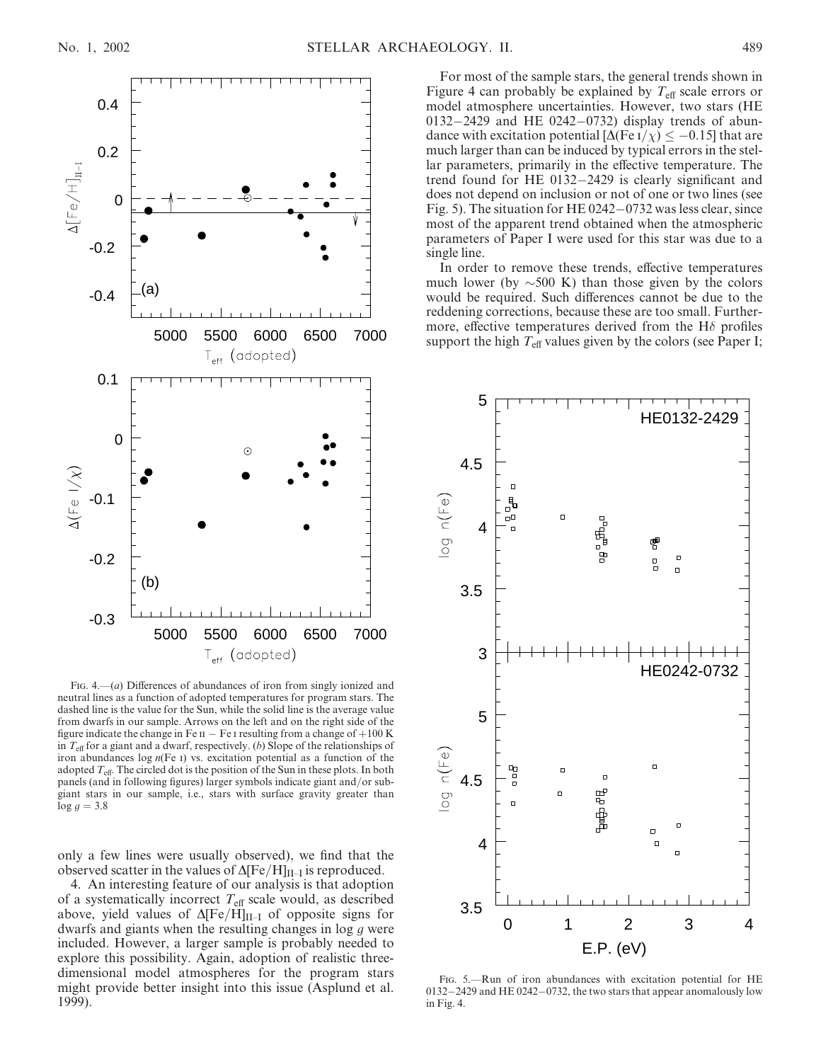

FIG. 4.— $(a)$  Differences of abundances of iron from singly ionized and neutral lines as a function of adopted temperatures for program stars. The dashed line is the value for the Sun, while the solid line is the average value from dwarfs in our sample. Arrows on the left and on the right side of the figure indicate the change in Fe  $\text{II}$  – Fe I resulting from a change of  $+100 \text{ K}$ in  $T_{\text{eff}}$  for a giant and a dwarf, respectively. (b) Slope of the relationships of iron abundances log  $n(Fe)$  vs. excitation potential as a function of the adopted  $T_{\text{eff}}$ . The circled dot is the position of the Sun in these plots. In both panels (and in following figures) larger symbols indicate giant and/or subgiant stars in our sample, i.e., stars with surface gravity greater than  $log g = 3.8$ 

only a few lines were usually observed), we find that the observed scatter in the values of  $\Delta [Fe/H]_{II-I}$  is reproduced.

4. An interesting feature of our analysis is that adoption of a systematically incorrect  $T_{\text{eff}}$  scale would, as described above, yield values of  $\Delta$ [Fe/H]<sub>II–I</sub> of opposite signs for dwarfs and giants when the resulting changes in log g were included. However, a larger sample is probably needed to explore this possibility. Again, adoption of realistic threedimensional model atmospheres for the program stars might provide better insight into this issue (Asplund et al. 1999).

For most of the sample stars, the general trends shown in Figure 4 can probably be explained by  $T_{\text{eff}}$  scale errors or model atmosphere uncertainties. However, two stars (HE 0132-2429 and HE 0242-0732) display trends of abundance with excitation potential  $[\Delta(\text{Fe I}/\chi)] \leq -0.15$  that are much larger than can be induced by typical errors in the stellar parameters, primarily in the effective temperature. The trend found for HE 0132-2429 is clearly significant and does not depend on inclusion or not of one or two lines (see Fig. 5). The situation for HE 0242-0732 was less clear, since most of the apparent trend obtained when the atmospheric parameters of Paper I were used for this star was due to a single line.

In order to remove these trends, effective temperatures much lower (by  $\sim$  500 K) than those given by the colors would be required. Such differences cannot be due to the reddening corrections, because these are too small. Furthermore, effective temperatures derived from the H $\delta$  profiles support the high  $T_{\text{eff}}$  values given by the colors (see Paper I;



Fig. 5.—Run of iron abundances with excitation potential for HE 0132-2429 and HE 0242-0732, the two stars that appear anomalously low in Fig. 4.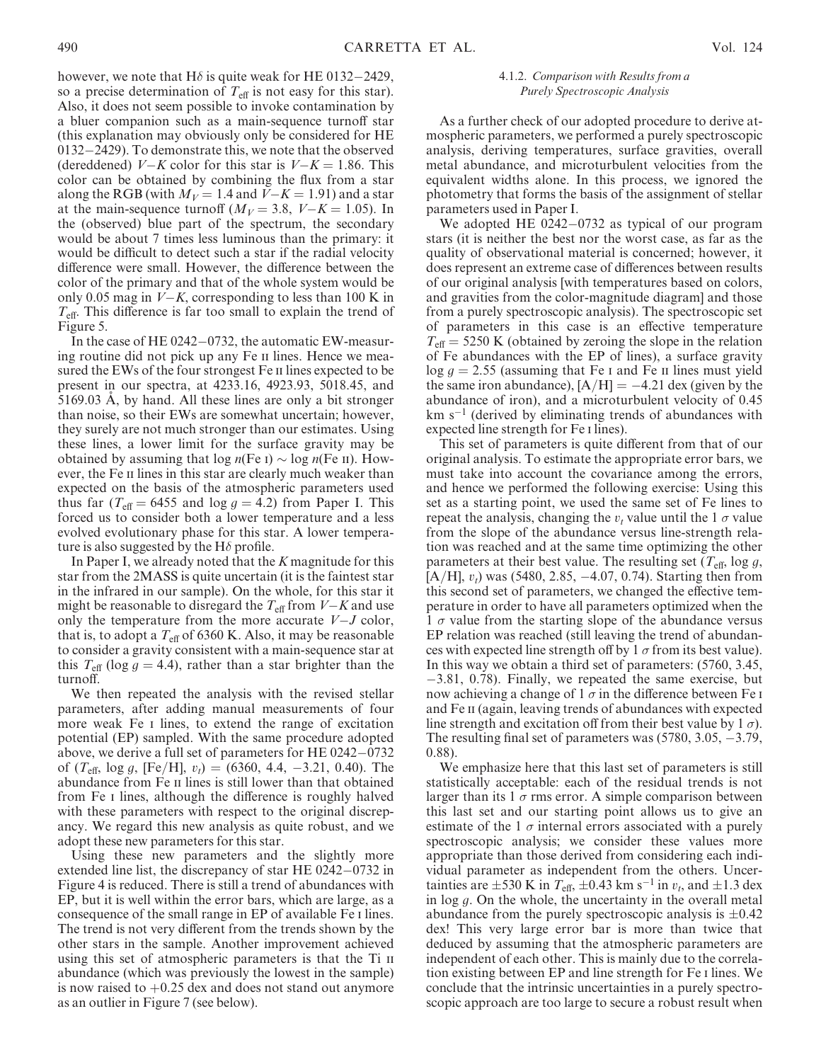however, we note that H $\delta$  is quite weak for HE 0132–2429, so a precise determination of  $T_{\text{eff}}$  is not easy for this star). Also, it does not seem possible to invoke contamination by a bluer companion such as a main-sequence turnoff star (this explanation may obviously only be considered for HE 0132-2429). To demonstrate this, we note that the observed (dereddened)  $V-K$  color for this star is  $V-K = 1.86$ . This color can be obtained by combining the flux from a star along the RGB (with  $M_V = 1.4$  and  $V-K = 1.91$ ) and a star at the main-sequence turnoff ( $M_V = 3.8$ ,  $V-K = 1.05$ ). In the (observed) blue part of the spectrum, the secondary would be about 7 times less luminous than the primary: it would be difficult to detect such a star if the radial velocity difference were small. However, the difference between the color of the primary and that of the whole system would be only 0.05 mag in  $V-K$ , corresponding to less than 100 K in  $T_{\text{eff}}$ . This difference is far too small to explain the trend of Figure 5.

In the case of HE 0242-0732, the automatic EW-measuring routine did not pick up any Fe II lines. Hence we measured the EWs of the four strongest Fe II lines expected to be present in our spectra, at 4233.16, 4923.93, 5018.45, and 5169.03 A, by hand. All these lines are only a bit stronger than noise, so their EWs are somewhat uncertain; however, they surely are not much stronger than our estimates. Using these lines, a lower limit for the surface gravity may be obtained by assuming that  $log n(Fe I) \sim log n(Fe II)$ . However, the Fe ii lines in this star are clearly much weaker than expected on the basis of the atmospheric parameters used thus far ( $T_{\text{eff}}$  = 6455 and log  $g = 4.2$ ) from Paper I. This forced us to consider both a lower temperature and a less evolved evolutionary phase for this star. A lower temperature is also suggested by the H $\delta$  profile.

In Paper I, we already noted that the K magnitude for this star from the 2MASS is quite uncertain (it is the faintest star in the infrared in our sample). On the whole, for this star it might be reasonable to disregard the  $T_{\text{eff}}$  from  $V-K$  and use only the temperature from the more accurate  $V-J$  color, that is, to adopt a  $T_{\text{eff}}$  of 6360 K. Also, it may be reasonable to consider a gravity consistent with a main-sequence star at this  $T_{\text{eff}}$  (log  $q = 4.4$ ), rather than a star brighter than the turnoff.

We then repeated the analysis with the revised stellar parameters, after adding manual measurements of four more weak Fe i lines, to extend the range of excitation potential (EP) sampled. With the same procedure adopted above, we derive a full set of parameters for HE 0242-0732 of  $(T_{\text{eff}}$ , log g, [Fe/H],  $v_t$ ) = (6360, 4.4, -3.21, 0.40). The abundance from Fe II lines is still lower than that obtained from Fe i lines, although the difference is roughly halved with these parameters with respect to the original discrepancy. We regard this new analysis as quite robust, and we adopt these new parameters for this star.

Using these new parameters and the slightly more extended line list, the discrepancy of star HE 0242-0732 in Figure 4 is reduced. There is still a trend of abundances with EP, but it is well within the error bars, which are large, as a consequence of the small range in EP of available Fe i lines. The trend is not very different from the trends shown by the other stars in the sample. Another improvement achieved using this set of atmospheric parameters is that the Ti  $\pi$ abundance (which was previously the lowest in the sample) is now raised to  $+0.25$  dex and does not stand out anymore as an outlier in Figure 7 (see below).

## 4.1.2. Comparison with Results from a Purely Spectroscopic Analysis

As a further check of our adopted procedure to derive atmospheric parameters, we performed a purely spectroscopic analysis, deriving temperatures, surface gravities, overall metal abundance, and microturbulent velocities from the equivalent widths alone. In this process, we ignored the photometry that forms the basis of the assignment of stellar parameters used in Paper I.

We adopted HE 0242-0732 as typical of our program stars (it is neither the best nor the worst case, as far as the quality of observational material is concerned; however, it does represent an extreme case of differences between results of our original analysis [with temperatures based on colors, and gravities from the color-magnitude diagram] and those from a purely spectroscopic analysis). The spectroscopic set of parameters in this case is an effective temperature  $T_{\text{eff}}$  = 5250 K (obtained by zeroing the slope in the relation of Fe abundances with the EP of lines), a surface gravity  $\log q = 2.55$  (assuming that Fe I and Fe II lines must yield the same iron abundance),  $[A/H] = -4.21$  dex (given by the abundance of iron), and a microturbulent velocity of 0.45  $km s<sup>-1</sup>$  (derived by eliminating trends of abundances with expected line strength for Fe i lines).

This set of parameters is quite different from that of our original analysis. To estimate the appropriate error bars, we must take into account the covariance among the errors, and hence we performed the following exercise: Using this set as a starting point, we used the same set of Fe lines to repeat the analysis, changing the  $v_t$  value until the 1  $\sigma$  value from the slope of the abundance versus line-strength relation was reached and at the same time optimizing the other parameters at their best value. The resulting set  $(T_{\text{eff}}, \log q,$  $[A/H], v_t$ ) was (5480, 2.85, -4.07, 0.74). Starting then from this second set of parameters, we changed the effective temperature in order to have all parameters optimized when the 1  $\sigma$  value from the starting slope of the abundance versus EP relation was reached (still leaving the trend of abundances with expected line strength off by 1  $\sigma$  from its best value). In this way we obtain a third set of parameters: (5760, 3.45, -3.81, 0.78). Finally, we repeated the same exercise, but now achieving a change of  $1 \sigma$  in the difference between Fe i and Fe ii (again, leaving trends of abundances with expected line strength and excitation off from their best value by  $1 \sigma$ ). The resulting final set of parameters was  $(5780, 3.05, -3.79,$ 0.88).

We emphasize here that this last set of parameters is still statistically acceptable: each of the residual trends is not larger than its 1  $\sigma$  rms error. A simple comparison between this last set and our starting point allows us to give an estimate of the 1  $\sigma$  internal errors associated with a purely spectroscopic analysis; we consider these values more appropriate than those derived from considering each individual parameter as independent from the others. Uncertainties are  $\pm 530$  K in  $T_{\text{eff}}$ ,  $\pm 0.43$  km s<sup>-1</sup> in  $v_t$ , and  $\pm 1.3$  dex in  $log g$ . On the whole, the uncertainty in the overall metal abundance from the purely spectroscopic analysis is  $\pm 0.42$ dex! This very large error bar is more than twice that deduced by assuming that the atmospheric parameters are independent of each other. This is mainly due to the correlation existing between EP and line strength for Fe i lines. We conclude that the intrinsic uncertainties in a purely spectroscopic approach are too large to secure a robust result when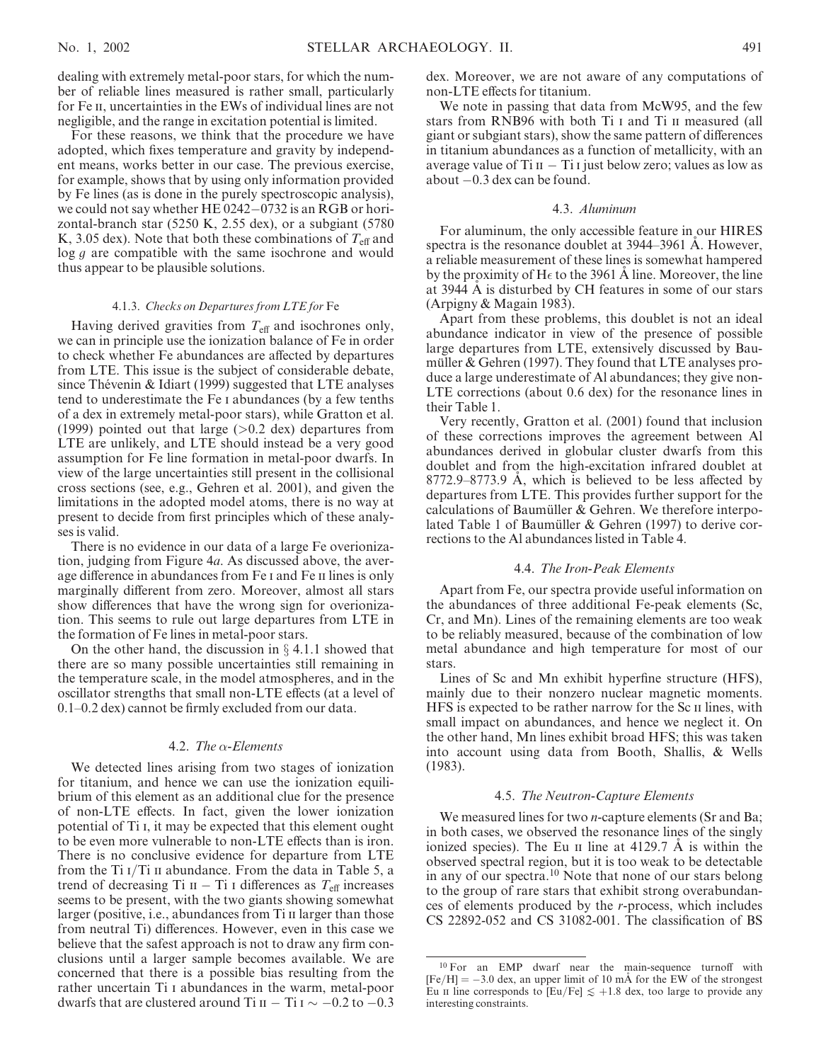dealing with extremely metal-poor stars, for which the number of reliable lines measured is rather small, particularly for Fe ii, uncertainties in the EWs of individual lines are not negligible, and the range in excitation potential is limited.

For these reasons, we think that the procedure we have adopted, which fixes temperature and gravity by independent means, works better in our case. The previous exercise, for example, shows that by using only information provided by Fe lines (as is done in the purely spectroscopic analysis), we could not say whether HE 0242-0732 is an RGB or horizontal-branch star (5250 K, 2.55 dex), or a subgiant (5780 K, 3.05 dex). Note that both these combinations of  $T_{\text{eff}}$  and log g are compatible with the same isochrone and would thus appear to be plausible solutions.

### 4.1.3. Checks on Departures from LTE for Fe

Having derived gravities from  $T_{\text{eff}}$  and isochrones only, we can in principle use the ionization balance of Fe in order to check whether Fe abundances are affected by departures from LTE. This issue is the subject of considerable debate, since Thévenin & Idiart (1999) suggested that LTE analyses tend to underestimate the Fe i abundances (by a few tenths of a dex in extremely metal-poor stars), while Gratton et al. (1999) pointed out that large  $(>0.2$  dex) departures from LTE are unlikely, and LTE should instead be a very good assumption for Fe line formation in metal-poor dwarfs. In view of the large uncertainties still present in the collisional cross sections (see, e.g., Gehren et al. 2001), and given the limitations in the adopted model atoms, there is no way at present to decide from first principles which of these analyses is valid.

There is no evidence in our data of a large Fe overionization, judging from Figure 4a. As discussed above, the average difference in abundances from Fe I and Fe II lines is only marginally different from zero. Moreover, almost all stars show differences that have the wrong sign for overionization. This seems to rule out large departures from LTE in the formation of Fe lines in metal-poor stars.

On the other hand, the discussion in  $\S 4.1.1$  showed that there are so many possible uncertainties still remaining in the temperature scale, in the model atmospheres, and in the oscillator strengths that small non-LTE effects (at a level of 0.1–0.2 dex) cannot be firmly excluded from our data.

## 4.2. The  $\alpha$ -Elements

We detected lines arising from two stages of ionization for titanium, and hence we can use the ionization equilibrium of this element as an additional clue for the presence of non-LTE effects. In fact, given the lower ionization potential of Ti i, it may be expected that this element ought to be even more vulnerable to non-LTE effects than is iron. There is no conclusive evidence for departure from LTE from the Ti  $I/Ti$  ii abundance. From the data in Table 5, a trend of decreasing Ti  $II - Ti$  i differences as  $T_{\text{eff}}$  increases seems to be present, with the two giants showing somewhat larger (positive, i.e., abundances from Ti II larger than those from neutral Ti) differences. However, even in this case we believe that the safest approach is not to draw any firm conclusions until a larger sample becomes available. We are concerned that there is a possible bias resulting from the rather uncertain Ti i abundances in the warm, metal-poor dwarfs that are clustered around Ti  $II - Ti I \sim -0.2$  to  $-0.3$ 

dex. Moreover, we are not aware of any computations of non-LTE effects for titanium.

We note in passing that data from McW95, and the few stars from RNB96 with both Ti I and Ti II measured (all giant or subgiant stars), show the same pattern of differences in titanium abundances as a function of metallicity, with an average value of Ti  $II - Ti$  i just below zero; values as low as about -0.3 dex can be found.

## 4.3. Aluminum

For aluminum, the only accessible feature in our HIRES spectra is the resonance doublet at 3944–3961 A. However, a reliable measurement of these lines is somewhat hampered by the proximity of H $\epsilon$  to the 3961 A line. Moreover, the line at 3944 A is disturbed by CH features in some of our stars (Arpigny & Magain 1983).

Apart from these problems, this doublet is not an ideal abundance indicator in view of the presence of possible large departures from LTE, extensively discussed by Baumüller & Gehren (1997). They found that LTE analyses produce a large underestimate of Al abundances; they give non-LTE corrections (about 0.6 dex) for the resonance lines in their Table 1.

Very recently, Gratton et al. (2001) found that inclusion of these corrections improves the agreement between Al abundances derived in globular cluster dwarfs from this doublet and from the high-excitation infrared doublet at  $8772.9 - 8773.9$  A, which is believed to be less affected by departures from LTE. This provides further support for the calculations of Baumüller  $&$  Gehren. We therefore interpolated Table 1 of Baumüller & Gehren (1997) to derive corrections to the Al abundances listed in Table 4.

#### 4.4. The Iron-Peak Elements

Apart from Fe, our spectra provide useful information on the abundances of three additional Fe-peak elements (Sc, Cr, and Mn). Lines of the remaining elements are too weak to be reliably measured, because of the combination of low metal abundance and high temperature for most of our stars.

Lines of Sc and Mn exhibit hyperfine structure (HFS), mainly due to their nonzero nuclear magnetic moments. HFS is expected to be rather narrow for the Sc ii lines, with small impact on abundances, and hence we neglect it. On the other hand, Mn lines exhibit broad HFS; this was taken into account using data from Booth, Shallis, & Wells (1983).

## 4.5. The Neutron-Capture Elements

We measured lines for two *n*-capture elements (Sr and Ba; in both cases, we observed the resonance lines of the singly ionized species). The Eu  $\pi$  line at 4129.7 Å is within the observed spectral region, but it is too weak to be detectable in any of our spectra.<sup>10</sup> Note that none of our stars belong to the group of rare stars that exhibit strong overabundances of elements produced by the r-process, which includes CS 22892-052 and CS 31082-001. The classification of BS

<sup>10</sup> For an EMP dwarf near the main-sequence turnoff with  $[Fe/H] = -3.0$  dex, an upper limit of 10 mÅ for the EW of the strongest Eu  $\pi$  line corresponds to  $\text{[Eu/Fe]} \lesssim +1.8$  dex, too large to provide any interesting constraints.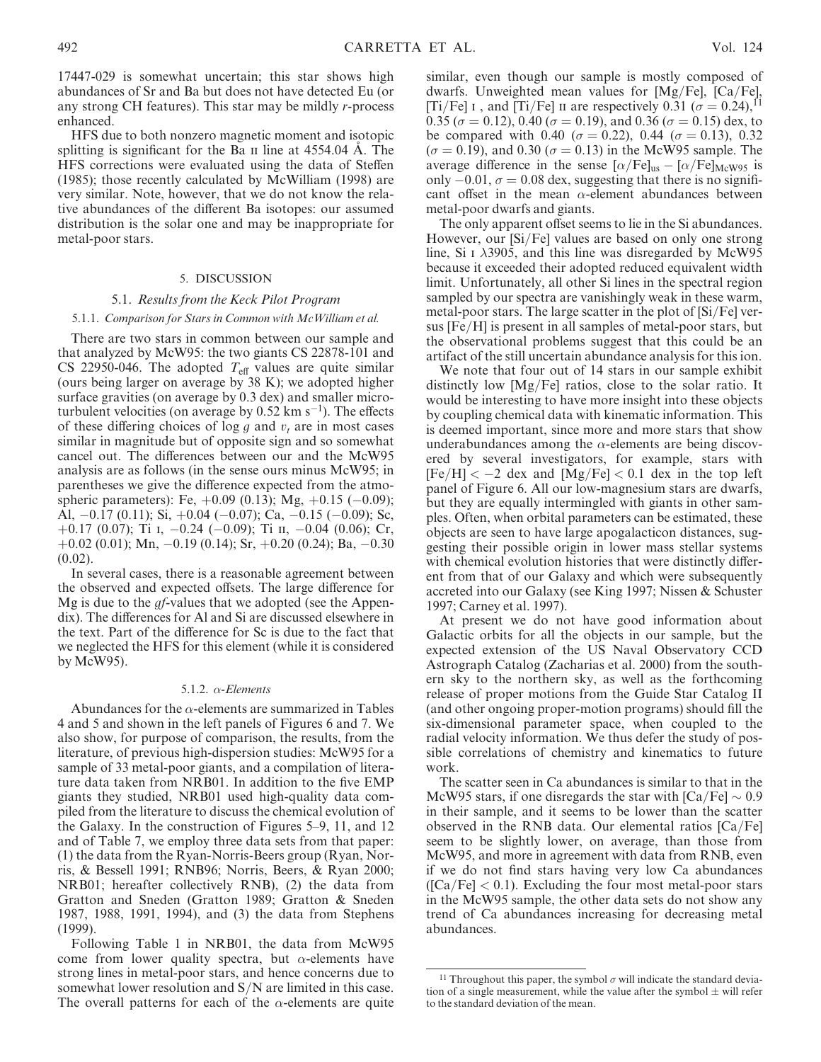17447-029 is somewhat uncertain; this star shows high abundances of Sr and Ba but does not have detected Eu (or any strong CH features). This star may be mildly r-process enhanced.

HFS due to both nonzero magnetic moment and isotopic splitting is significant for the Ba  $\pi$  line at 4554.04 A. The HFS corrections were evaluated using the data of Steffen (1985); those recently calculated by McWilliam (1998) are very similar. Note, however, that we do not know the relative abundances of the different Ba isotopes: our assumed distribution is the solar one and may be inappropriate for metal-poor stars.

#### 5. DISCUSSION

### 5.1. Results from the Keck Pilot Program

#### 5.1.1. Comparison for Stars in Common with McWilliam et al.

There are two stars in common between our sample and that analyzed by McW95: the two giants CS 22878-101 and CS 22950-046. The adopted  $T_{\text{eff}}$  values are quite similar (ours being larger on average by 38 K); we adopted higher surface gravities (on average by 0.3 dex) and smaller microturbulent velocities (on average by  $0.52 \text{ km s}^{-1}$ ). The effects of these differing choices of log g and  $v_t$  are in most cases similar in magnitude but of opposite sign and so somewhat cancel out. The differences between our and the McW95 analysis are as follows (in the sense ours minus McW95; in parentheses we give the difference expected from the atmospheric parameters): Fe, +0.09 (0.13); Mg, +0.15 (-0.09); Al,  $-0.17$  (0.11); Si,  $+0.04$  ( $-0.07$ ); Ca,  $-0.15$  ( $-0.09$ ); Sc,  $+0.17$  (0.07); Ti I,  $-0.24$  ( $-0.09$ ); Ti II,  $-0.04$  (0.06); Cr,  $+0.02$  (0.01); Mn,  $-0.19$  (0.14); Sr,  $+0.20$  (0.24); Ba,  $-0.30$  $(0.02)$ .

In several cases, there is a reasonable agreement between the observed and expected offsets. The large difference for Mg is due to the gf-values that we adopted (see the Appendix). The differences for Al and Si are discussed elsewhere in the text. Part of the difference for Sc is due to the fact that we neglected the HFS for this element (while it is considered by McW95).

#### 5.1.2.  $\alpha$ -Elements

Abundances for the  $\alpha$ -elements are summarized in Tables 4 and 5 and shown in the left panels of Figures 6 and 7. We also show, for purpose of comparison, the results, from the literature, of previous high-dispersion studies: McW95 for a sample of 33 metal-poor giants, and a compilation of literature data taken from NRB01. In addition to the five EMP giants they studied, NRB01 used high-quality data compiled from the literature to discuss the chemical evolution of the Galaxy. In the construction of Figures 5–9, 11, and 12 and of Table 7, we employ three data sets from that paper: (1) the data from the Ryan-Norris-Beers group (Ryan, Norris, & Bessell 1991; RNB96; Norris, Beers, & Ryan 2000; NRB01; hereafter collectively RNB), (2) the data from Gratton and Sneden (Gratton 1989; Gratton & Sneden 1987, 1988, 1991, 1994), and (3) the data from Stephens (1999).

Following Table 1 in NRB01, the data from McW95 come from lower quality spectra, but  $\alpha$ -elements have strong lines in metal-poor stars, and hence concerns due to somewhat lower resolution and S/N are limited in this case. The overall patterns for each of the  $\alpha$ -elements are quite

similar, even though our sample is mostly composed of dwarfs. Unweighted mean values for [Mg/Fe], [Ca/Fe], [Ti/Fe] I, and [Ti/Fe] II are respectively  $0.31$  ( $\sigma = 0.24$ ),<sup>11</sup> 0.35 ( $\sigma$  = 0.12), 0.40 ( $\sigma$  = 0.19), and 0.36 ( $\sigma$  = 0.15) dex, to be compared with 0.40 ( $\sigma = 0.22$ ), 0.44 ( $\sigma = 0.13$ ), 0.32  $(\sigma = 0.19)$ , and 0.30 ( $\sigma = 0.13$ ) in the McW95 sample. The average difference in the sense  $[\alpha/Fe]_{us} - [\alpha/Fe]_{MeW95}$  is only  $-0.01$ ,  $\sigma = 0.08$  dex, suggesting that there is no significant offset in the mean  $\alpha$ -element abundances between metal-poor dwarfs and giants.

The only apparent offset seems to lie in the Si abundances. However, our [Si/Fe] values are based on only one strong line, Si I  $\lambda$ 3905, and this line was disregarded by McW95 because it exceeded their adopted reduced equivalent width limit. Unfortunately, all other Si lines in the spectral region sampled by our spectra are vanishingly weak in these warm, metal-poor stars. The large scatter in the plot of [Si/Fe] versus [Fe/H] is present in all samples of metal-poor stars, but the observational problems suggest that this could be an artifact of the still uncertain abundance analysis for this ion.

We note that four out of 14 stars in our sample exhibit distinctly low [Mg/Fe] ratios, close to the solar ratio. It would be interesting to have more insight into these objects by coupling chemical data with kinematic information. This is deemed important, since more and more stars that show underabundances among the  $\alpha$ -elements are being discovered by several investigators, for example, stars with  $[Fe/H] < -2$  dex and  $[Mg/Fe] < 0.1$  dex in the top left panel of Figure 6. All our low-magnesium stars are dwarfs, but they are equally intermingled with giants in other samples. Often, when orbital parameters can be estimated, these objects are seen to have large apogalacticon distances, suggesting their possible origin in lower mass stellar systems with chemical evolution histories that were distinctly different from that of our Galaxy and which were subsequently accreted into our Galaxy (see King 1997; Nissen & Schuster 1997; Carney et al. 1997).

At present we do not have good information about Galactic orbits for all the objects in our sample, but the expected extension of the US Naval Observatory CCD Astrograph Catalog (Zacharias et al. 2000) from the southern sky to the northern sky, as well as the forthcoming release of proper motions from the Guide Star Catalog II (and other ongoing proper-motion programs) should fill the six-dimensional parameter space, when coupled to the radial velocity information. We thus defer the study of possible correlations of chemistry and kinematics to future work.

The scatter seen in Ca abundances is similar to that in the McW95 stars, if one disregards the star with  $\text{[Ca/Fe]} \sim 0.9$ in their sample, and it seems to be lower than the scatter observed in the RNB data. Our elemental ratios [Ca/Fe] seem to be slightly lower, on average, than those from McW95, and more in agreement with data from RNB, even if we do not find stars having very low Ca abundances  $\left(\frac{[Ca/Fe]}{< 0.1}\right)$ . Excluding the four most metal-poor stars in the McW95 sample, the other data sets do not show any trend of Ca abundances increasing for decreasing metal abundances.

 $^{11}$  Throughout this paper, the symbol  $\sigma$  will indicate the standard deviation of a single measurement, while the value after the symbol  $\pm$  will refer to the standard deviation of the mean.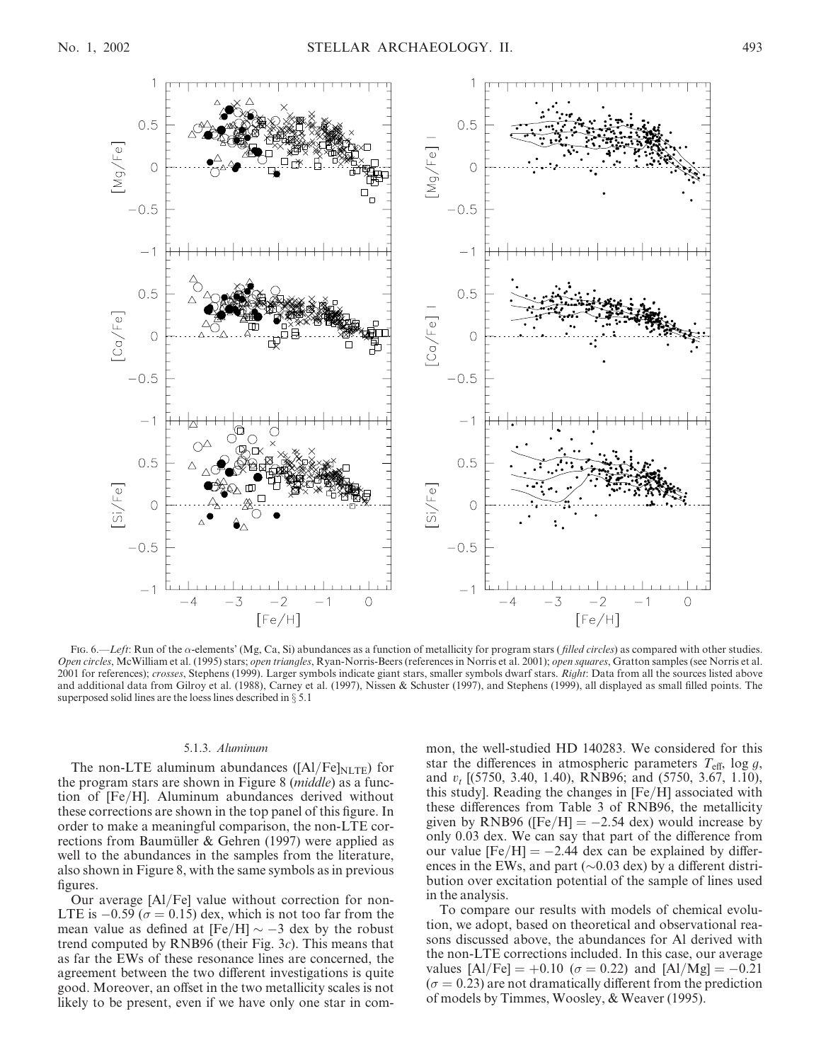

Fig. 6.—Left: Run of the  $\alpha$ -elements' (Mg, Ca, Si) abundances as a function of metallicity for program stars (*filled circles*) as compared with other studies. Open circles, McWilliam et al. (1995) stars; open triangles, Ryan-Norris-Beers (references in Norris et al. 2001); open squares, Gratton samples (see Norris et al. 2001 for references); crosses, Stephens (1999). Larger symbols indicate giant stars, smaller symbols dwarf stars. Right: Data from all the sources listed above and additional data from Gilroy et al. (1988), Carney et al. (1997), Nissen & Schuster (1997), and Stephens (1999), all displayed as small filled points. The superposed solid lines are the loess lines described in  $\S$  5.1

#### 5.1.3. Aluminum

The non-LTE aluminum abundances ( $\text{[Al/Fe]}_{\text{NLTE}}$ ) for the program stars are shown in Figure 8 (middle) as a function of [Fe/H]. Aluminum abundances derived without these corrections are shown in the top panel of this figure. In order to make a meaningful comparison, the non-LTE corrections from Baumüller & Gehren  $(1997)$  were applied as well to the abundances in the samples from the literature, also shown in Figure 8, with the same symbols as in previous figures.

Our average [Al/Fe] value without correction for non-LTE is  $-0.59$  ( $\sigma = 0.15$ ) dex, which is not too far from the mean value as defined at  $[Fe/H] \sim -3$  dex by the robust trend computed by RNB96 (their Fig.  $3c$ ). This means that as far the EWs of these resonance lines are concerned, the agreement between the two different investigations is quite good. Moreover, an offset in the two metallicity scales is not likely to be present, even if we have only one star in common, the well-studied HD 140283. We considered for this star the differences in atmospheric parameters  $T_{\text{eff}}$ , log g, and  $v_t$  [(5750, 3.40, 1.40), RNB96; and (5750, 3.67, 1.10), this study]. Reading the changes in [Fe/H] associated with these differences from Table 3 of RNB96, the metallicity given by RNB96 ( $[Fe/H] = -2.54$  dex) would increase by only 0.03 dex. We can say that part of the difference from our value  $[Fe/H] = -2.44$  dex can be explained by differences in the EWs, and part ( $\sim$ 0.03 dex) by a different distribution over excitation potential of the sample of lines used in the analysis.

To compare our results with models of chemical evolution, we adopt, based on theoretical and observational reasons discussed above, the abundances for Al derived with the non-LTE corrections included. In this case, our average values  $[A1/Fe] = +0.10$  ( $\sigma = 0.22$ ) and  $[A1/ Mg] = -0.21$  $(\sigma = 0.23)$  are not dramatically different from the prediction of models by Timmes, Woosley, & Weaver (1995).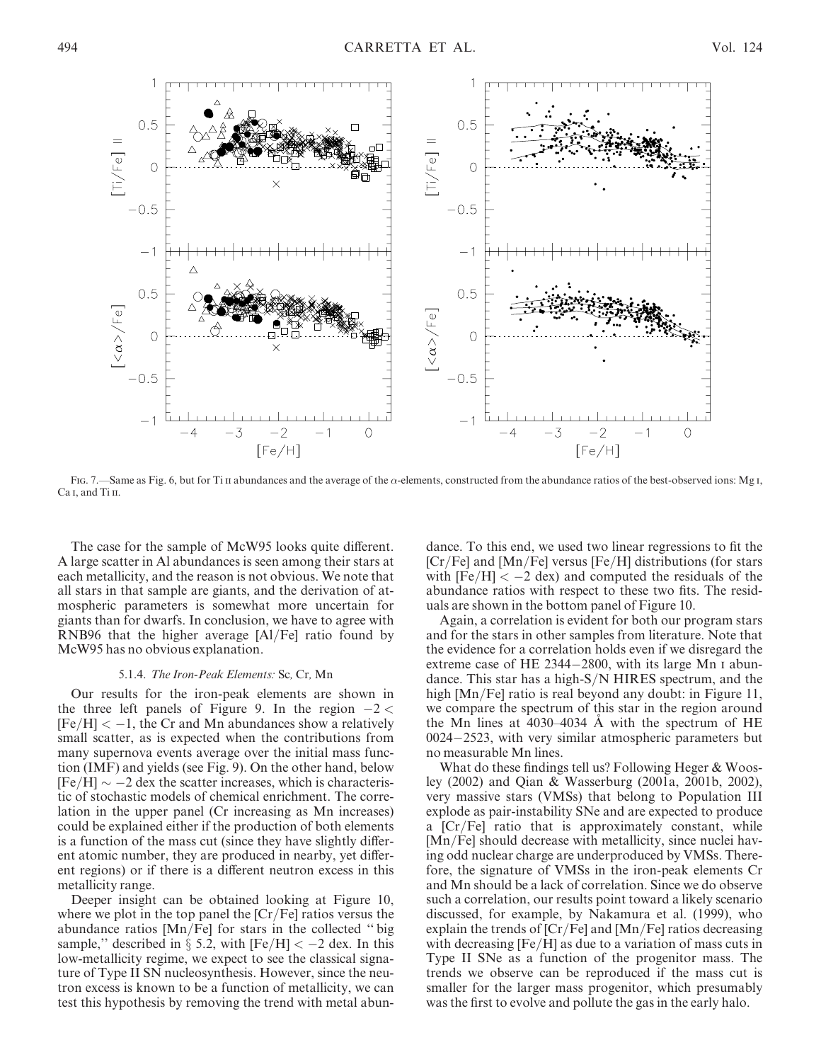

Fig. 7.—Same as Fig. 6, but for Ti II abundances and the average of the  $\alpha$ -elements, constructed from the abundance ratios of the best-observed ions: Mg I, Ca<sub>I</sub>, and Ti<sub>II</sub>.

The case for the sample of McW95 looks quite different. A large scatter in Al abundances is seen among their stars at each metallicity, and the reason is not obvious. We note that all stars in that sample are giants, and the derivation of atmospheric parameters is somewhat more uncertain for giants than for dwarfs. In conclusion, we have to agree with RNB96 that the higher average [Al/Fe] ratio found by McW95 has no obvious explanation.

## 5.1.4. The Iron-Peak Elements: Sc, Cr, Mn

Our results for the iron-peak elements are shown in the three left panels of Figure 9. In the region  $-2 <$  $[Fe/H] < -1$ , the Cr and Mn abundances show a relatively small scatter, as is expected when the contributions from many supernova events average over the initial mass function (IMF) and yields (see Fig. 9). On the other hand, below  $[Fe/H] \sim -2$  dex the scatter increases, which is characteristic of stochastic models of chemical enrichment. The correlation in the upper panel (Cr increasing as Mn increases) could be explained either if the production of both elements is a function of the mass cut (since they have slightly different atomic number, they are produced in nearby, yet different regions) or if there is a different neutron excess in this metallicity range.

Deeper insight can be obtained looking at Figure 10, where we plot in the top panel the  $[Cr/Fe]$  ratios versus the abundance ratios [Mn/Fe] for stars in the collected '' big sample," described in  $\S$  5.2, with  $[Fe/H] < -2$  dex. In this low-metallicity regime, we expect to see the classical signature of Type II SN nucleosynthesis. However, since the neutron excess is known to be a function of metallicity, we can test this hypothesis by removing the trend with metal abun-

dance. To this end, we used two linear regressions to fit the [Cr/Fe] and [Mn/Fe] versus [Fe/H] distributions (for stars with  $[Fe/H] < -2$  dex) and computed the residuals of the abundance ratios with respect to these two fits. The residuals are shown in the bottom panel of Figure 10.

Again, a correlation is evident for both our program stars and for the stars in other samples from literature. Note that the evidence for a correlation holds even if we disregard the extreme case of HE 2344-2800, with its large Mn I abundance. This star has a high-S/N HIRES spectrum, and the high [Mn/Fe] ratio is real beyond any doubt: in Figure 11, we compare the spectrum of this star in the region around the Mn lines at  $4030-4034$  A with the spectrum of HE 0024-2523, with very similar atmospheric parameters but no measurable Mn lines.

What do these findings tell us? Following Heger & Woosley (2002) and Qian & Wasserburg (2001a, 2001b, 2002), very massive stars (VMSs) that belong to Population III explode as pair-instability SNe and are expected to produce a [Cr/Fe] ratio that is approximately constant, while [Mn/Fe] should decrease with metallicity, since nuclei having odd nuclear charge are underproduced by VMSs. Therefore, the signature of VMSs in the iron-peak elements Cr and Mn should be a lack of correlation. Since we do observe such a correlation, our results point toward a likely scenario discussed, for example, by Nakamura et al. (1999), who explain the trends of  $[Cr/Fe]$  and  $[Mn/Fe]$  ratios decreasing with decreasing [Fe/H] as due to a variation of mass cuts in Type II SNe as a function of the progenitor mass. The trends we observe can be reproduced if the mass cut is smaller for the larger mass progenitor, which presumably was the first to evolve and pollute the gas in the early halo.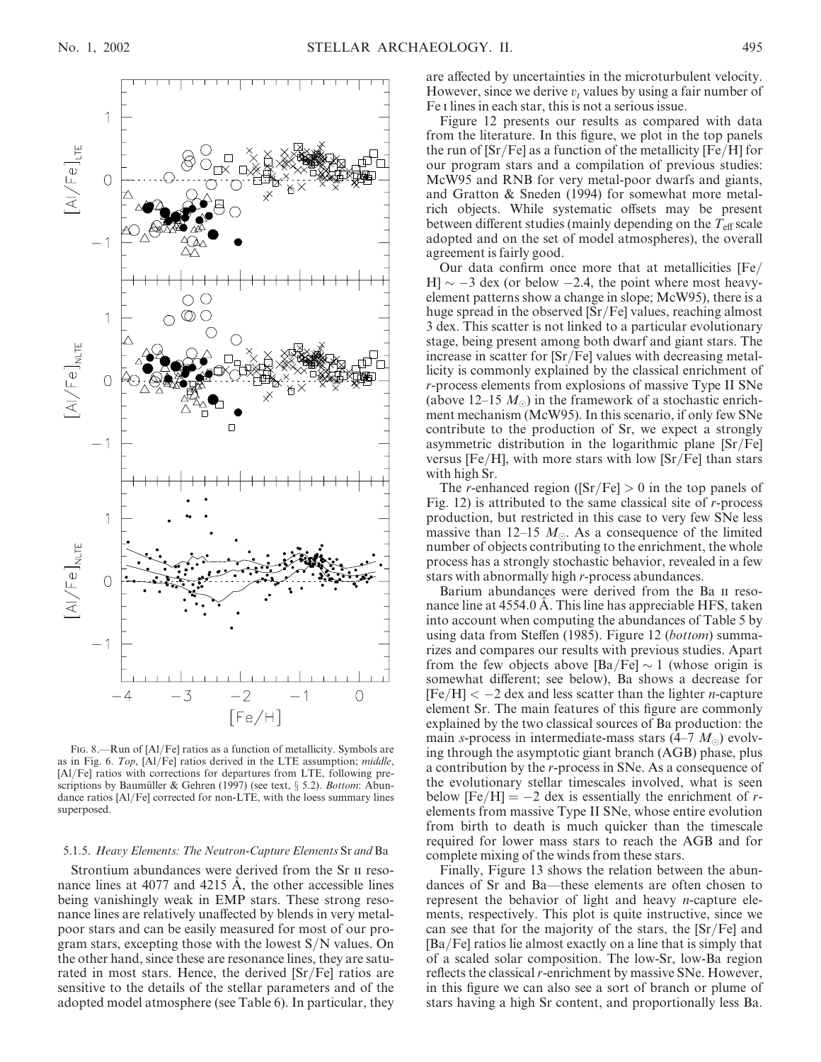

FIG. 8.—Run of [Al/Fe] ratios as a function of metallicity. Symbols are as in Fig. 6. Top, [Al/Fe] ratios derived in the LTE assumption; middle, [Al/Fe] ratios with corrections for departures from LTE, following prescriptions by Baumüller & Gehren (1997) (see text,  $\S$  5.2). *Bottom*: Abundance ratios [Al/Fe] corrected for non-LTE, with the loess summary lines superposed.

#### 5.1.5. Heavy Elements: The Neutron-Capture Elements Sr and Ba

Strontium abundances were derived from the Sr ii resonance lines at  $4077$  and  $4215$  Å, the other accessible lines being vanishingly weak in EMP stars. These strong resonance lines are relatively unaffected by blends in very metalpoor stars and can be easily measured for most of our program stars, excepting those with the lowest  $S/N$  values. On the other hand, since these are resonance lines, they are saturated in most stars. Hence, the derived [Sr/Fe] ratios are sensitive to the details of the stellar parameters and of the adopted model atmosphere (see Table 6). In particular, they are affected by uncertainties in the microturbulent velocity. However, since we derive  $v_t$  values by using a fair number of Fe i lines in each star, this is not a serious issue.

Figure 12 presents our results as compared with data from the literature. In this figure, we plot in the top panels the run of  $[Sr/Fe]$  as a function of the metallicity  $[Fe/H]$  for our program stars and a compilation of previous studies: McW95 and RNB for very metal-poor dwarfs and giants, and Gratton & Sneden (1994) for somewhat more metalrich objects. While systematic offsets may be present between different studies (mainly depending on the  $T_{\text{eff}}$  scale adopted and on the set of model atmospheres), the overall agreement is fairly good.

Our data confirm once more that at metallicities [Fe/  $[H] \sim -3$  dex (or below  $-2.4$ , the point where most heavyelement patterns show a change in slope; McW95), there is a huge spread in the observed [Sr/Fe] values, reaching almost 3 dex. This scatter is not linked to a particular evolutionary stage, being present among both dwarf and giant stars. The increase in scatter for [Sr/Fe] values with decreasing metallicity is commonly explained by the classical enrichment of r-process elements from explosions of massive Type II SNe (above 12–15  $M_{\odot}$ ) in the framework of a stochastic enrichment mechanism (McW95). In this scenario, if only few SNe contribute to the production of Sr, we expect a strongly asymmetric distribution in the logarithmic plane [Sr/Fe] versus  $[Fe/H]$ , with more stars with low  $[Sr/Fe]$  than stars with high Sr.

The *r*-enhanced region ( $[Sr/Fe] > 0$  in the top panels of Fig. 12) is attributed to the same classical site of  $r$ -process production, but restricted in this case to very few SNe less massive than 12–15  $M_{\odot}$ . As a consequence of the limited number of objects contributing to the enrichment, the whole process has a strongly stochastic behavior, revealed in a few stars with abnormally high r-process abundances.

Barium abundances were derived from the Ba ii resonance line at 4554.0 A. This line has appreciable HFS, taken into account when computing the abundances of Table 5 by using data from Steffen (1985). Figure 12 (bottom) summarizes and compares our results with previous studies. Apart from the few objects above  $\text{[Ba/Fe]} \sim 1$  (whose origin is somewhat different; see below), Ba shows a decrease for  $[Fe/H] < -2$  dex and less scatter than the lighter *n*-capture element Sr. The main features of this figure are commonly explained by the two classical sources of Ba production: the main s-process in intermediate-mass stars  $(4-7 M_{\odot})$  evolving through the asymptotic giant branch (AGB) phase, plus a contribution by the r-process in SNe. As a consequence of the evolutionary stellar timescales involved, what is seen below  $[Fe/H] = -2$  dex is essentially the enrichment of relements from massive Type II SNe, whose entire evolution from birth to death is much quicker than the timescale required for lower mass stars to reach the AGB and for complete mixing of the winds from these stars.

Finally, Figure 13 shows the relation between the abundances of Sr and Ba—these elements are often chosen to represent the behavior of light and heavy n-capture elements, respectively. This plot is quite instructive, since we can see that for the majority of the stars, the [Sr/Fe] and [Ba/Fe] ratios lie almost exactly on a line that is simply that of a scaled solar composition. The low-Sr, low-Ba region reflects the classical r-enrichment by massive SNe. However, in this figure we can also see a sort of branch or plume of stars having a high Sr content, and proportionally less Ba.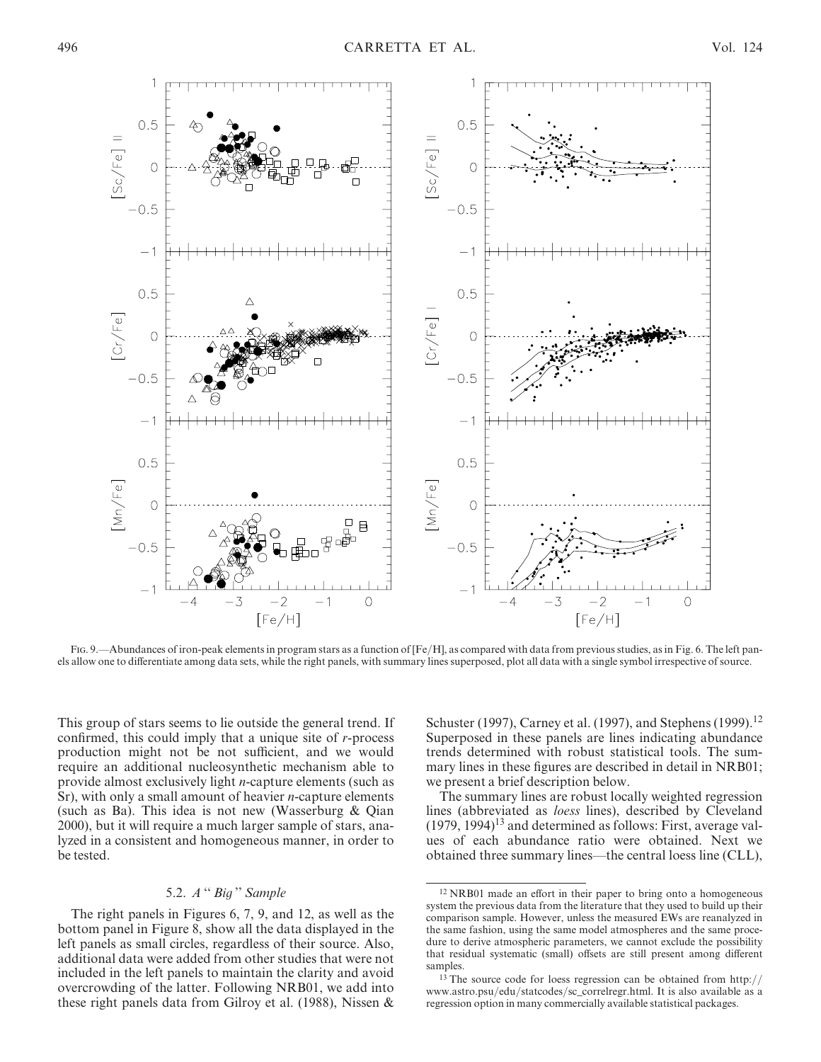

Fig. 9.—Abundances of iron-peak elements in program stars as a function of  $[Fe/H]$ , as compared with data from previous studies, as in Fig. 6. The left panels allow one to differentiate among data sets, while the right panels, with summary lines superposed, plot all data with a single symbol irrespective of source.

This group of stars seems to lie outside the general trend. If confirmed, this could imply that a unique site of r-process production might not be not sufficient, and we would require an additional nucleosynthetic mechanism able to provide almost exclusively light n-capture elements (such as Sr), with only a small amount of heavier  $n$ -capture elements (such as Ba). This idea is not new (Wasserburg & Qian 2000), but it will require a much larger sample of stars, analyzed in a consistent and homogeneous manner, in order to be tested.

# 5.2. A '' Big '' Sample

The right panels in Figures 6, 7, 9, and 12, as well as the bottom panel in Figure 8, show all the data displayed in the left panels as small circles, regardless of their source. Also, additional data were added from other studies that were not included in the left panels to maintain the clarity and avoid overcrowding of the latter. Following NRB01, we add into these right panels data from Gilroy et al. (1988), Nissen & Schuster (1997), Carney et al. (1997), and Stephens (1999).<sup>12</sup> Superposed in these panels are lines indicating abundance trends determined with robust statistical tools. The summary lines in these figures are described in detail in NRB01; we present a brief description below.

The summary lines are robust locally weighted regression lines (abbreviated as loess lines), described by Cleveland  $(1979, 1994)^{13}$  and determined as follows: First, average values of each abundance ratio were obtained. Next we obtained three summary lines—the central loess line (CLL),

<sup>12</sup> NRB01 made an effort in their paper to bring onto a homogeneous system the previous data from the literature that they used to build up their comparison sample. However, unless the measured EWs are reanalyzed in the same fashion, using the same model atmospheres and the same procedure to derive atmospheric parameters, we cannot exclude the possibility that residual systematic (small) offsets are still present among different samples.

<sup>13</sup> The source code for loess regression can be obtained from http:// www.astro.psu/edu/statcodes/sc\_correlregr.html. It is also available as a regression option in many commercially available statistical packages.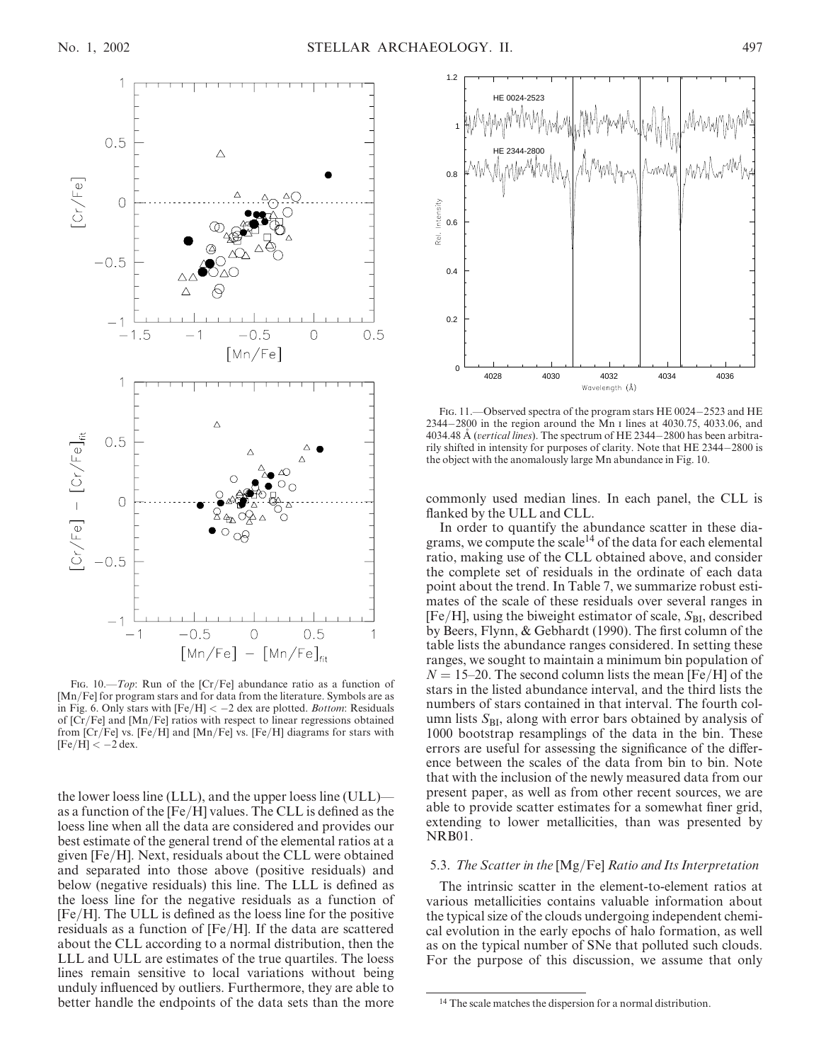

FIG. 10.—*Top*: Run of the [Cr/Fe] abundance ratio as a function of [Mn/Fe] for program stars and for data from the literature. Symbols are as in Fig. 6. Only stars with  $[Fe/H] < -2$  dex are plotted. *Bottom*: Residuals of [Cr/Fe] and [Mn/Fe] ratios with respect to linear regressions obtained from [Cr/Fe] vs. [Fe/H] and [Mn/Fe] vs. [Fe/H] diagrams for stars with  $[Fe/H] < -2$  dex.

the lower loess line (LLL), and the upper loess line (ULL) as a function of the [Fe/H] values. The CLL is defined as the loess line when all the data are considered and provides our best estimate of the general trend of the elemental ratios at a given [Fe/H]. Next, residuals about the CLL were obtained and separated into those above (positive residuals) and below (negative residuals) this line. The LLL is defined as the loess line for the negative residuals as a function of [Fe/H]. The ULL is defined as the loess line for the positive residuals as a function of [Fe/H]. If the data are scattered about the CLL according to a normal distribution, then the LLL and ULL are estimates of the true quartiles. The loess lines remain sensitive to local variations without being unduly influenced by outliers. Furthermore, they are able to better handle the endpoints of the data sets than the more



FIG. 11. - Observed spectra of the program stars HE 0024-2523 and HE 2344-2800 in the region around the Mn i lines at 4030.75, 4033.06, and 4034.48 Å (vertical lines). The spectrum of HE 2344-2800 has been arbitrarily shifted in intensity for purposes of clarity. Note that HE 2344-2800 is the object with the anomalously large Mn abundance in Fig. 10.

commonly used median lines. In each panel, the CLL is flanked by the ULL and CLL.

In order to quantify the abundance scatter in these diagrams, we compute the scale<sup>14</sup> of the data for each elemental ratio, making use of the CLL obtained above, and consider the complete set of residuals in the ordinate of each data point about the trend. In Table 7, we summarize robust estimates of the scale of these residuals over several ranges in  $[Fe/H]$ , using the biweight estimator of scale,  $S_{BI}$ , described by Beers, Flynn, & Gebhardt (1990). The first column of the table lists the abundance ranges considered. In setting these ranges, we sought to maintain a minimum bin population of  $N = 15-20$ . The second column lists the mean [Fe/H] of the stars in the listed abundance interval, and the third lists the numbers of stars contained in that interval. The fourth column lists  $S_{BI}$ , along with error bars obtained by analysis of 1000 bootstrap resamplings of the data in the bin. These errors are useful for assessing the significance of the difference between the scales of the data from bin to bin. Note that with the inclusion of the newly measured data from our present paper, as well as from other recent sources, we are able to provide scatter estimates for a somewhat finer grid, extending to lower metallicities, than was presented by NRB01.

## 5.3. The Scatter in the [Mg/Fe] Ratio and Its Interpretation

The intrinsic scatter in the element-to-element ratios at various metallicities contains valuable information about the typical size of the clouds undergoing independent chemical evolution in the early epochs of halo formation, as well as on the typical number of SNe that polluted such clouds. For the purpose of this discussion, we assume that only

<sup>&</sup>lt;sup>14</sup> The scale matches the dispersion for a normal distribution.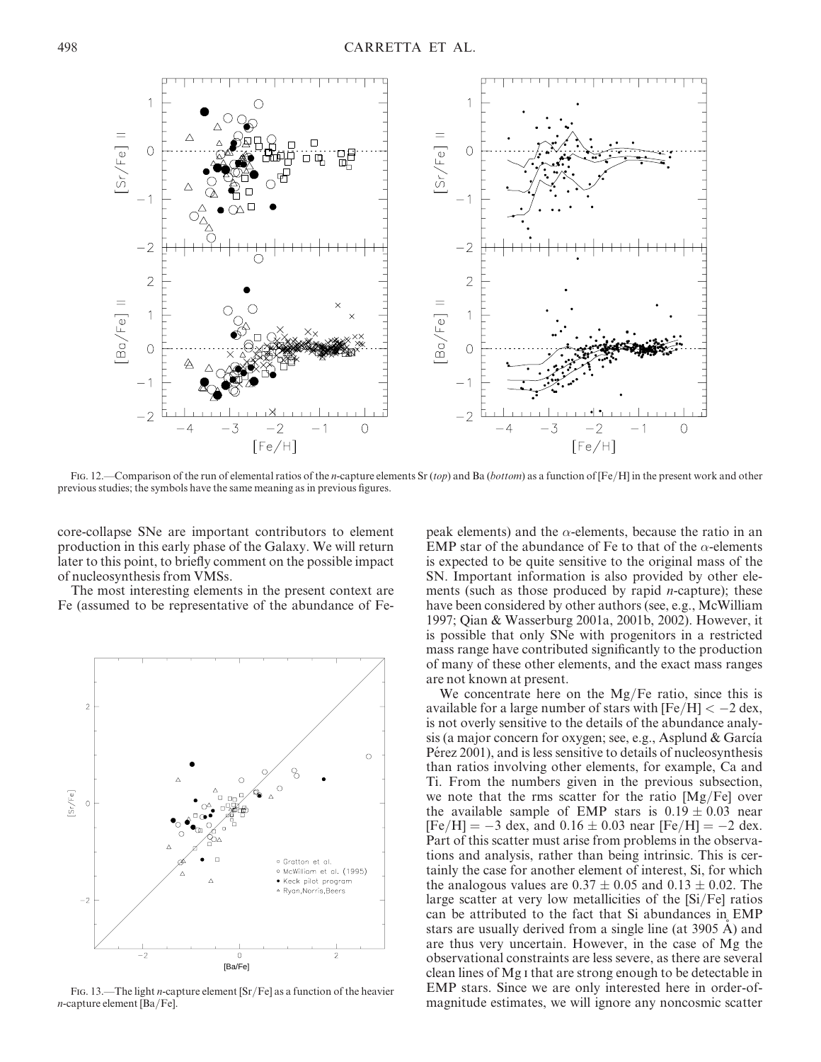

Fig. 12.—Comparison of the run of elemental ratios of the *n*-capture elements Sr (top) and Ba (bottom) as a function of  $[Fe/H]$  in the present work and other previous studies; the symbols have the same meaning as in previous figures.

core-collapse SNe are important contributors to element production in this early phase of the Galaxy. We will return later to this point, to briefly comment on the possible impact of nucleosynthesis from VMSs.

The most interesting elements in the present context are Fe (assumed to be representative of the abundance of Fe-



FIG. 13.—The light *n*-capture element  $\left[\frac{\text{Sr}}{\text{Fe}}\right]$  as a function of the heavier n-capture element [Ba/Fe].

peak elements) and the  $\alpha$ -elements, because the ratio in an EMP star of the abundance of Fe to that of the  $\alpha$ -elements is expected to be quite sensitive to the original mass of the SN. Important information is also provided by other elements (such as those produced by rapid  $n$ -capture); these have been considered by other authors (see, e.g., McWilliam 1997; Qian & Wasserburg 2001a, 2001b, 2002). However, it is possible that only SNe with progenitors in a restricted mass range have contributed significantly to the production of many of these other elements, and the exact mass ranges are not known at present.

We concentrate here on the  $Mg/Fe$  ratio, since this is available for a large number of stars with  $[Fe/H] < -2$  dex, is not overly sensitive to the details of the abundance analysis (a major concern for oxygen; see, e.g., Asplund  $&$  García Pérez 2001), and is less sensitive to details of nucleosynthesis than ratios involving other elements, for example, Ca and Ti. From the numbers given in the previous subsection, we note that the rms scatter for the ratio [Mg/Fe] over the available sample of EMP stars is  $0.19 \pm 0.03$  near  $[Fe/H] = -3$  dex, and  $0.16 \pm 0.03$  near  $[Fe/H] = -2$  dex. Part of this scatter must arise from problems in the observations and analysis, rather than being intrinsic. This is certainly the case for another element of interest, Si, for which the analogous values are  $0.37 \pm 0.05$  and  $0.13 \pm 0.02$ . The large scatter at very low metallicities of the [Si/Fe] ratios can be attributed to the fact that Si abundances in EMP stars are usually derived from a single line (at 3905 A) and are thus very uncertain. However, in the case of Mg the observational constraints are less severe, as there are several clean lines of Mg i that are strong enough to be detectable in EMP stars. Since we are only interested here in order-ofmagnitude estimates, we will ignore any noncosmic scatter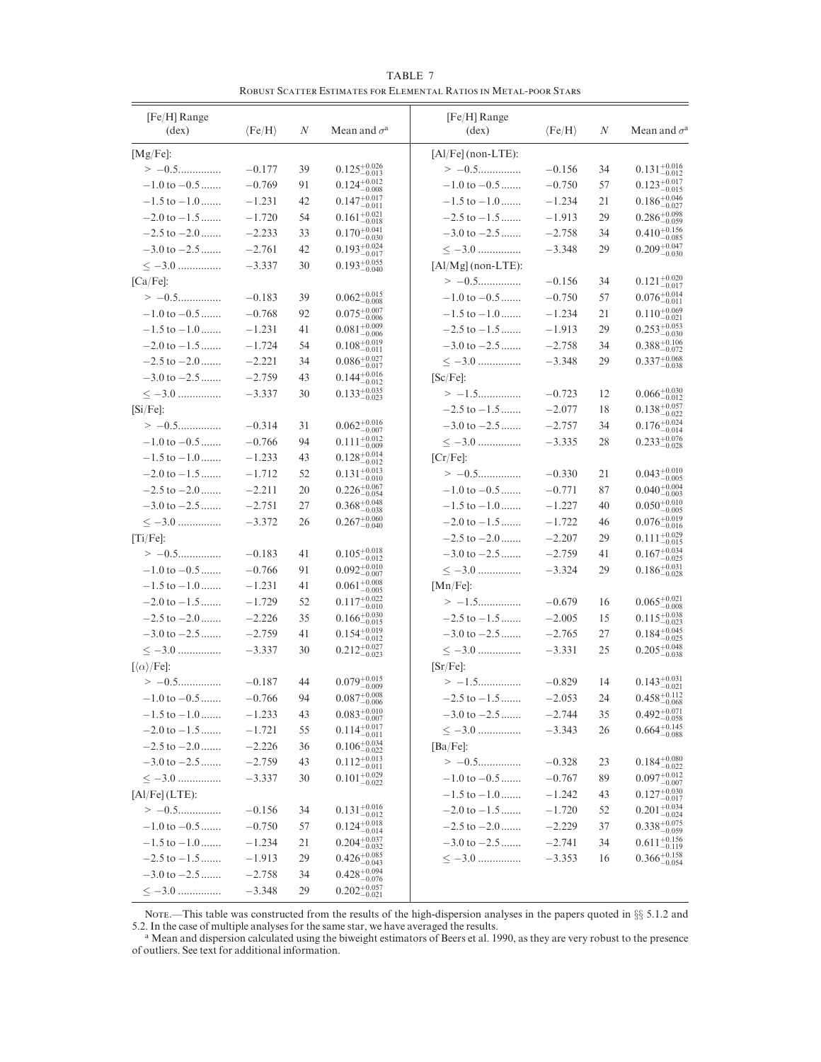TABLE 7 Robust Scatter Estimates for Elemental Ratios in Metal-poor Stars

| [Fe/H] Range<br>$(\text{dex})$                         | $\langle Fe/H \rangle$ | N  | Mean and $\sigma^{\rm a}$                     | [Fe/H] Range<br>$(\text{dex})$ | $\langle Fe/H \rangle$ | N  | Mean and $\sigma^a$                |
|--------------------------------------------------------|------------------------|----|-----------------------------------------------|--------------------------------|------------------------|----|------------------------------------|
| [Mg/Fe]:                                               |                        |    |                                               | $[A1/Fe]$ (non-LTE):           |                        |    |                                    |
| $> -0.5$                                               | $-0.177$               | 39 | $0.125_{-0.013}^{+0.026}$                     | $> -0.5$                       | $-0.156$               | 34 | $0.131^{+0.016}_{-0.012}$          |
| $-1.0$ to $-0.5$                                       | $-0.769$               | 91 | $0.124^{+0.012}_{-0.008}$                     | $-1.0$ to $-0.5$               | $-0.750$               | 57 | $0.123_{-0.015}^{+0.017}$          |
| $-1.5$ to $-1.0$                                       | $-1.231$               | 42 | $0.147^{+0.017}_{-0.011}$                     | $-1.5$ to $-1.0$               | $-1.234$               | 21 | $0.186^{+0.046}_{-0.027}$          |
| $-2.0$ to $-1.5$                                       | $-1.720$               | 54 | $0.161^{+0.021}_{-0.018}$                     | $-2.5$ to $-1.5$               | $-1.913$               | 29 | $0.286_{-0.059}^{+0.098}$          |
| $-2.5$ to $-2.0$                                       | $-2.233$               | 33 | $0.170\substack{+0.041\\-0.030}$              | $-3.0$ to $-2.5$               | $-2.758$               | 34 | $0.410_{-0.085}^{+0.156}$          |
| $-3.0$ to $-2.5$                                       | $-2.761$               | 42 | $0.193^{+0.024}_{-0.017}$                     | $<-3.0$                        | $-3.348$               | 29 | $0.209_{-0.030}^{+0.047}$          |
| $\leq -3.0$                                            | $-3.337$               | 30 | $0.193^{+0.055}_{-0.040}$                     | [Al/Mg] (non-LTE):             |                        |    |                                    |
| $[Ca/Fe]$ :                                            |                        |    |                                               |                                | $-0.156$               | 34 | $0.121_{-0.017}^{+0.020}$          |
| $> -0.5$                                               | $-0.183$               | 39 | $0.062^{+0.015}_{-0.008}$                     | $-1.0$ to $-0.5$               | $-0.750$               | 57 | $0.076_{-0.011}^{+0.014}$          |
| $-1.0$ to $-0.5$                                       | $-0.768$               | 92 | $0.075^{+0.007}_{-0.006}$                     | $-1.5$ to $-1.0$               | $-1.234$               | 21 | $0.110^{+0.069}_{-0.021}$          |
| $-1.5$ to $-1.0$                                       | $-1.231$               | 41 | $0.081\substack{+0.009\\-0.006}$              | $-2.5$ to $-1.5$               | $-1.913$               | 29 | $0.253_{-0.030}^{+0.053}$          |
| $-2.0$ to $-1.5$                                       | $-1.724$               | 54 | $0.108^{+0.019}_{-0.011}$                     | $-3.0$ to $-2.5$               | $-2.758$               | 34 | $0.388^{+0.106}_{-0.072}$          |
| $-2.5$ to $-2.0$                                       | $-2.221$               | 34 | $0.086^{+0.027}_{-0.017}$                     | $\leq -3.0$                    | $-3.348$               | 29 | $0.337^{+0.068}_{-0.038}$          |
| $-3.0$ to $-2.5$                                       | $-2.759$               | 43 | $0.144^{+0.016}_{-0.012}$                     | $[Sc/Fe]$ :                    |                        |    |                                    |
| $<-3.0$                                                | $-3.337$               | 30 | $0.133^{+0.035}_{-0.023}$                     | $> -1.5$                       | $-0.723$               | 12 | $0.066_{-0.012}^{+0.030}$          |
| $[Si/Fe]$ :                                            |                        |    |                                               | $-2.5$ to $-1.5$               | $-2.077$               | 18 | $0.138_{-0.022}^{+0.057}$          |
| $> -0.5$                                               | $-0.314$               | 31 | $0.062^{+0.016}_{-0.007}$                     | $-3.0$ to $-2.5$               | $-2.757$               | 34 | $0.176_{-0.014}^{+0.024}$          |
| $-1.0$ to $-0.5$                                       | $-0.766$               | 94 | $0.111^{+0.012}_{-0.009}$                     | $\langle -3.0$                 | $-3.335$               | 28 | $0.233_{-0.028}^{+0.076}$          |
| $-1.5$ to $-1.0$                                       | $-1.233$               | 43 | $0.128^{+0.014}_{-0.012}$                     | $[Cr/Fe]$ :                    |                        |    |                                    |
| $-2.0$ to $-1.5$                                       | $-1.712$               | 52 | $0.131^{+0.013}_{-0.010}$                     | $> -0.5$                       | $-0.330$               | 21 | $0.043_{-0.005}^{+0.010}$          |
| $-2.5$ to $-2.0$                                       | $-2.211$               | 20 | $0.226_{-0.054}^{+0.067}$                     | $-1.0$ to $-0.5$               | $-0.771$               | 87 | $0.040^{+0.004}_{-0.003}$          |
| $-3.0$ to $-2.5$                                       | $-2.751$               | 27 |                                               | $-1.5$ to $-1.0$               | $-1.227$               | 40 |                                    |
| $\leq -3.0$                                            | $-3.372$               | 26 | $0.368^{+0.048}_{-0.038}$                     | $-2.0$ to $-1.5$               | $-1.722$               | 46 | $0.050^{+0.010}_{-0.005}$          |
|                                                        |                        |    | $0.267^{+0.060}_{-0.040}$                     | $-2.5$ to $-2.0$               |                        | 29 | $0.076\substack{+0.019\\-0.016}$   |
| $[Ti/Fe]$ :<br>$> -0.5$                                | $-0.183$               | 41 |                                               | $-3.0$ to $-2.5$               | $-2.207$               | 41 | $0.111^{+0.029}_{-0.015}$          |
| $-1.0$ to $-0.5$                                       |                        |    | $0.105_{-0.012}^{+0.018}$                     | $<-3.0$                        | $-2.759$               | 29 | $0.167\substack{+0.034\\-0.025}$   |
|                                                        | $-0.766$               | 91 | $0.092^{+0.010}_{-0.007}$                     |                                | $-3.324$               |    | $0.186_{-0.028}^{+0.031}$          |
| $-1.5$ to $-1.0$                                       | $-1.231$               | 41 | $0.061\substack{+0.008\\-0.005}$              | $[Mn/Fe]$ :                    |                        |    |                                    |
| $-2.0$ to $-1.5$                                       | $-1.729$               | 52 | $0.117^{\tiny{+0.022}}_{\tiny{-0.010}}$       | $> -1.5$                       | $-0.679$               | 16 | $0.065_{-0.008}^{+0.021}$          |
| $-2.5$ to $-2.0$                                       | $-2.226$               | 35 | $0.166\substack{+0.030\\-0.015}$              | $-2.5$ to $-1.5$               | $-2.005$               | 15 | $0.115_{-0.023}^{+0.038}$          |
| $-3.0$ to $-2.5$                                       | $-2.759$               | 41 | $0.154^{+0.019}_{-0.012}$                     | $-3.0$ to $-2.5$               | $-2.765$               | 27 | $0.184^{+0.045}_{-0.025}$          |
| $<-3.0$                                                | $-3.337$               | 30 | $0.212_{-0.023}^{+0.027}$                     | $\leq -3.0$                    | $-3.331$               | 25 | $0.205_{-0.038}^{+0.048}$          |
| $\lceil \langle \alpha \rangle / \mathrm{Fe} \rceil$ : |                        |    |                                               | $[Sr/Fe]$ :                    |                        |    |                                    |
| $> -0.5$                                               | $-0.187$               | 44 | $0.079^{+0.015}_{-0.009}$                     |                                | $-0.829$               | 14 | $0.143_{-0.021}^{+0.031}$          |
| $-1.0$ to $-0.5$                                       | $-0.766$               | 94 | $0.087\substack{+0.008\\-0.006}$              | $-2.5$ to $-1.5$               | $-2.053$               | 24 | $0.458\substack{+0.112\\-0.068}$   |
| $-1.5$ to $-1.0$                                       | $-1.233$               | 43 | $0.083^{\mathrm {+0.010}}_{\mathrm {-0.007}}$ | $-3.0$ to $-2.5$               | $-2.744$               | 35 | $0.492^{+0.071}_{-0.058}$          |
| $-2.0$ to $-1.5$                                       | $-1.721$               | 55 | $0.114^{+0.017}_{-0.011}$                     | $<-3.0$                        | $-3.343$               | 26 | $0.664\substack{+0.145 \\ -0.088}$ |
| $-2.5$ to $-2.0$                                       | $-2.226$               | 36 | $0.106\substack{+0.034\\-0.022}$              | $[Ba/Fe]$ :                    |                        |    |                                    |
| $-3.0$ to $-2.5$                                       | $-2.759$               | 43 | $0.112^{+0.013}_{-0.011}$                     |                                | $-0.328$               | 23 | $0.184\substack{+0.080\\-0.022}$   |
| $<-3.0$                                                | $-3.337$               | 30 | $0.101^{+0.029}_{-0.022}$                     | $-1.0$ to $-0.5$               | $-0.767$               | 89 | $0.097\substack{+0.012\\ -0.007}$  |
| $[Al/Fe] (LTE)$ :                                      |                        |    |                                               | $-1.5$ to $-1.0$               | $-1.242$               | 43 | $0.127^{+0.030}_{-0.017}$          |
| $> -0.5$                                               | $-0.156$               | 34 | $0.131^{+0.016}_{-0.012}$                     | $-2.0$ to $-1.5$               | $-1.720$               | 52 | $0.201_{-0.024}^{+0.034}$          |
| $-1.0$ to $-0.5$                                       | $-0.750$               | 57 | $0.124_{-0.014}^{+0.018}$                     | $-2.5$ to $-2.0$               | $-2.229$               | 37 | $0.338\substack{+0.075 \\ -0.059}$ |
| $-1.5$ to $-1.0$                                       | $-1.234$               | 21 | $0.204\substack{+0.037\\-0.032}$              | $-3.0$ to $-2.5$               | $-2.741$               | 34 | $0.611^{+0.156}_{-0.119}$          |
| $-2.5$ to $-1.5$                                       | $-1.913$               | 29 | $0.426^{+0.085}_{-0.043}$                     | $\leq -3.0$                    | $-3.353$               | 16 | $0.366_{-0.054}^{+0.158}$          |
| $-3.0$ to $-2.5$                                       | $-2.758$               | 34 | $0.428^{\mathrm {+0.094}}_{\mathrm {-0.076}}$ |                                |                        |    |                                    |
| $\leq -3.0$                                            | $-3.348$               | 29 | $0.202^{+0.057}_{-0.021}$                     |                                |                        |    |                                    |

NOTE.—This table was constructed from the results of the high-dispersion analyses in the papers quoted in  $\S$  5.1.2 and 5.2. In the case of multiple analyses for the same star, we have averaged the results.

<sup>a</sup> Mean and dispersion calculated using the biweight estimators of Beers et al. 1990, as they are very robust to the presence of outliers. See text for additional information.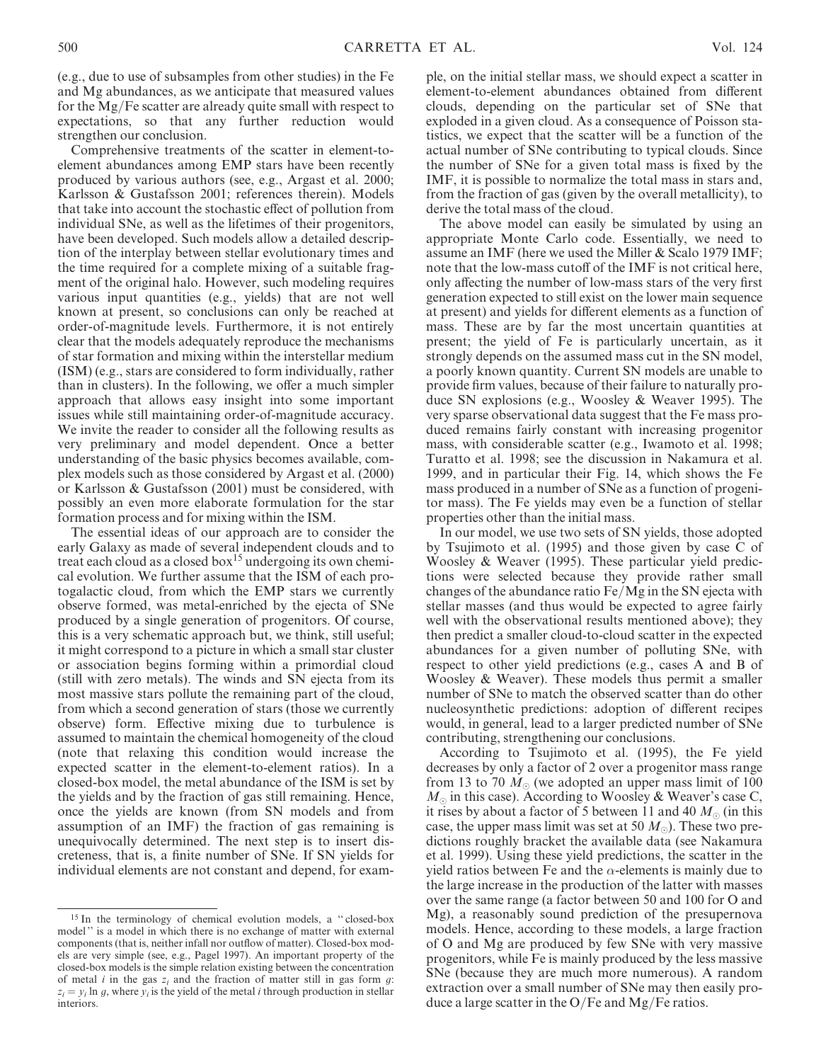(e.g., due to use of subsamples from other studies) in the Fe and Mg abundances, as we anticipate that measured values for the Mg/Fe scatter are already quite small with respect to expectations, so that any further reduction would strengthen our conclusion.

Comprehensive treatments of the scatter in element-toelement abundances among EMP stars have been recently produced by various authors (see, e.g., Argast et al. 2000; Karlsson & Gustafsson 2001; references therein). Models that take into account the stochastic effect of pollution from individual SNe, as well as the lifetimes of their progenitors, have been developed. Such models allow a detailed description of the interplay between stellar evolutionary times and the time required for a complete mixing of a suitable fragment of the original halo. However, such modeling requires various input quantities (e.g., yields) that are not well known at present, so conclusions can only be reached at order-of-magnitude levels. Furthermore, it is not entirely clear that the models adequately reproduce the mechanisms of star formation and mixing within the interstellar medium (ISM) (e.g., stars are considered to form individually, rather than in clusters). In the following, we offer a much simpler approach that allows easy insight into some important issues while still maintaining order-of-magnitude accuracy. We invite the reader to consider all the following results as very preliminary and model dependent. Once a better understanding of the basic physics becomes available, complex models such as those considered by Argast et al. (2000) or Karlsson & Gustafsson (2001) must be considered, with possibly an even more elaborate formulation for the star formation process and for mixing within the ISM.

The essential ideas of our approach are to consider the early Galaxy as made of several independent clouds and to treat each cloud as a closed box<sup>15</sup> undergoing its own chemical evolution. We further assume that the ISM of each protogalactic cloud, from which the EMP stars we currently observe formed, was metal-enriched by the ejecta of SNe produced by a single generation of progenitors. Of course, this is a very schematic approach but, we think, still useful; it might correspond to a picture in which a small star cluster or association begins forming within a primordial cloud (still with zero metals). The winds and SN ejecta from its most massive stars pollute the remaining part of the cloud, from which a second generation of stars (those we currently observe) form. Effective mixing due to turbulence is assumed to maintain the chemical homogeneity of the cloud (note that relaxing this condition would increase the expected scatter in the element-to-element ratios). In a closed-box model, the metal abundance of the ISM is set by the yields and by the fraction of gas still remaining. Hence, once the yields are known (from SN models and from assumption of an IMF) the fraction of gas remaining is unequivocally determined. The next step is to insert discreteness, that is, a finite number of SNe. If SN yields for individual elements are not constant and depend, for exam-

<sup>15</sup> In the terminology of chemical evolution models, a '' closed-box model '' is a model in which there is no exchange of matter with external components (that is, neither infall nor outflow of matter). Closed-box models are very simple (see, e.g., Pagel 1997). An important property of the closed-box models is the simple relation existing between the concentration of metal i in the gas  $z_i$  and the fraction of matter still in gas form  $g$ :  $z_i = y_i \ln q$ , where  $y_i$  is the yield of the metal *i* through production in stellar interiors.

ple, on the initial stellar mass, we should expect a scatter in element-to-element abundances obtained from different clouds, depending on the particular set of SNe that exploded in a given cloud. As a consequence of Poisson statistics, we expect that the scatter will be a function of the actual number of SNe contributing to typical clouds. Since the number of SNe for a given total mass is fixed by the IMF, it is possible to normalize the total mass in stars and, from the fraction of gas (given by the overall metallicity), to derive the total mass of the cloud.

The above model can easily be simulated by using an appropriate Monte Carlo code. Essentially, we need to assume an IMF (here we used the Miller & Scalo 1979 IMF; note that the low-mass cutoff of the IMF is not critical here, only affecting the number of low-mass stars of the very first generation expected to still exist on the lower main sequence at present) and yields for different elements as a function of mass. These are by far the most uncertain quantities at present; the yield of Fe is particularly uncertain, as it strongly depends on the assumed mass cut in the SN model, a poorly known quantity. Current SN models are unable to provide firm values, because of their failure to naturally produce SN explosions (e.g., Woosley & Weaver 1995). The very sparse observational data suggest that the Fe mass produced remains fairly constant with increasing progenitor mass, with considerable scatter (e.g., Iwamoto et al. 1998; Turatto et al. 1998; see the discussion in Nakamura et al. 1999, and in particular their Fig. 14, which shows the Fe mass produced in a number of SNe as a function of progenitor mass). The Fe yields may even be a function of stellar properties other than the initial mass.

In our model, we use two sets of SN yields, those adopted by Tsujimoto et al. (1995) and those given by case C of Woosley & Weaver (1995). These particular yield predictions were selected because they provide rather small changes of the abundance ratio Fe/Mg in the SN ejecta with stellar masses (and thus would be expected to agree fairly well with the observational results mentioned above); they then predict a smaller cloud-to-cloud scatter in the expected abundances for a given number of polluting SNe, with respect to other yield predictions (e.g., cases A and B of Woosley & Weaver). These models thus permit a smaller number of SNe to match the observed scatter than do other nucleosynthetic predictions: adoption of different recipes would, in general, lead to a larger predicted number of SNe contributing, strengthening our conclusions.

According to Tsujimoto et al. (1995), the Fe yield decreases by only a factor of 2 over a progenitor mass range from 13 to 70  $M_{\odot}$  (we adopted an upper mass limit of 100  $M_{\odot}$  in this case). According to Woosley & Weaver's case C, it rises by about a factor of 5 between 11 and 40  $M_{\odot}$  (in this case, the upper mass limit was set at 50  $M_{\odot}$ ). These two predictions roughly bracket the available data (see Nakamura et al. 1999). Using these yield predictions, the scatter in the yield ratios between Fe and the  $\alpha$ -elements is mainly due to the large increase in the production of the latter with masses over the same range (a factor between 50 and 100 for O and Mg), a reasonably sound prediction of the presupernova models. Hence, according to these models, a large fraction of O and Mg are produced by few SNe with very massive progenitors, while Fe is mainly produced by the less massive SNe (because they are much more numerous). A random extraction over a small number of SNe may then easily produce a large scatter in the O/Fe and  $Mg/Fe$  ratios.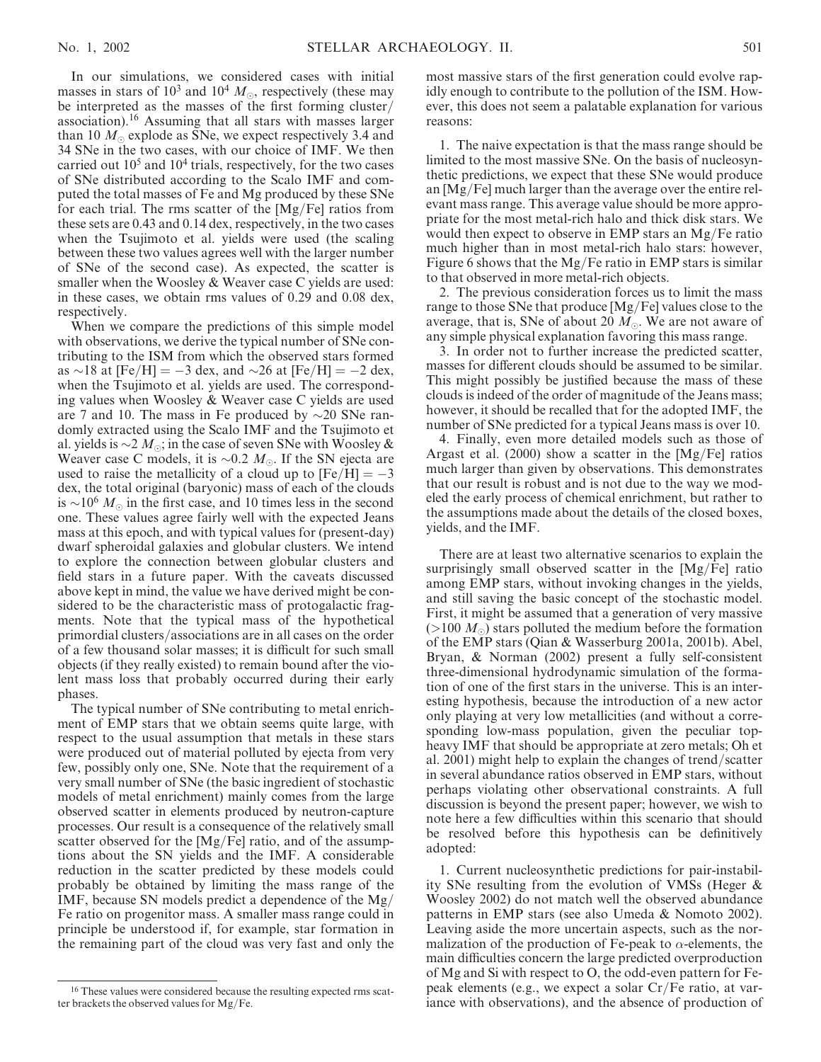In our simulations, we considered cases with initial masses in stars of  $10^3$  and  $10^4$   $M_{\odot}$ , respectively (these may be interpreted as the masses of the first forming cluster/ association).<sup>16</sup> Assuming that all stars with masses larger than 10  $M_{\odot}$  explode as SNe, we expect respectively 3.4 and 34 SNe in the two cases, with our choice of IMF. We then carried out  $10<sup>5</sup>$  and  $10<sup>4</sup>$  trials, respectively, for the two cases of SNe distributed according to the Scalo IMF and computed the total masses of Fe and Mg produced by these SNe for each trial. The rms scatter of the [Mg/Fe] ratios from these sets are 0.43 and 0.14 dex, respectively, in the two cases when the Tsujimoto et al. yields were used (the scaling between these two values agrees well with the larger number of SNe of the second case). As expected, the scatter is smaller when the Woosley & Weaver case C yields are used: in these cases, we obtain rms values of 0.29 and 0.08 dex, respectively.

When we compare the predictions of this simple model with observations, we derive the typical number of SNe contributing to the ISM from which the observed stars formed as  $\sim$ 18 at [Fe/H] =  $-3$  dex, and  $\sim$ 26 at [Fe/H] =  $-2$  dex, when the Tsujimoto et al. yields are used. The corresponding values when Woosley & Weaver case C yields are used are 7 and 10. The mass in Fe produced by  $\sim$ 20 SNe randomly extracted using the Scalo IMF and the Tsujimoto et al. yields is  $\sim 2 M_{\odot}$ ; in the case of seven SNe with Woosley & Weaver case C models, it is  $\sim 0.2$  M. If the SN ejecta are used to raise the metallicity of a cloud up to  $[Fe/H] = -3$ dex, the total original (baryonic) mass of each of the clouds is  $\sim 10^6 M_{\odot}$  in the first case, and 10 times less in the second one. These values agree fairly well with the expected Jeans mass at this epoch, and with typical values for (present-day) dwarf spheroidal galaxies and globular clusters. We intend to explore the connection between globular clusters and field stars in a future paper. With the caveats discussed above kept in mind, the value we have derived might be considered to be the characteristic mass of protogalactic fragments. Note that the typical mass of the hypothetical primordial clusters/associations are in all cases on the order of a few thousand solar masses; it is difficult for such small objects (if they really existed) to remain bound after the violent mass loss that probably occurred during their early phases.

The typical number of SNe contributing to metal enrichment of EMP stars that we obtain seems quite large, with respect to the usual assumption that metals in these stars were produced out of material polluted by ejecta from very few, possibly only one, SNe. Note that the requirement of a very small number of SNe (the basic ingredient of stochastic models of metal enrichment) mainly comes from the large observed scatter in elements produced by neutron-capture processes. Our result is a consequence of the relatively small scatter observed for the [Mg/Fe] ratio, and of the assumptions about the SN yields and the IMF. A considerable reduction in the scatter predicted by these models could probably be obtained by limiting the mass range of the IMF, because SN models predict a dependence of the Mg/ Fe ratio on progenitor mass. A smaller mass range could in principle be understood if, for example, star formation in the remaining part of the cloud was very fast and only the

most massive stars of the first generation could evolve rapidly enough to contribute to the pollution of the ISM. However, this does not seem a palatable explanation for various reasons:

1. The naive expectation is that the mass range should be limited to the most massive SNe. On the basis of nucleosynthetic predictions, we expect that these SNe would produce an [Mg/Fe] much larger than the average over the entire relevant mass range. This average value should be more appropriate for the most metal-rich halo and thick disk stars. We would then expect to observe in EMP stars an Mg/Fe ratio much higher than in most metal-rich halo stars: however, Figure 6 shows that the Mg/Fe ratio in EMP stars is similar to that observed in more metal-rich objects.

2. The previous consideration forces us to limit the mass range to those SNe that produce [Mg/Fe] values close to the average, that is, SNe of about 20  $M_{\odot}$ . We are not aware of any simple physical explanation favoring this mass range.

3. In order not to further increase the predicted scatter, masses for different clouds should be assumed to be similar. This might possibly be justified because the mass of these clouds is indeed of the order of magnitude of the Jeans mass; however, it should be recalled that for the adopted IMF, the number of SNe predicted for a typical Jeans mass is over 10.

4. Finally, even more detailed models such as those of Argast et al. (2000) show a scatter in the [Mg/Fe] ratios much larger than given by observations. This demonstrates that our result is robust and is not due to the way we modeled the early process of chemical enrichment, but rather to the assumptions made about the details of the closed boxes, yields, and the IMF.

There are at least two alternative scenarios to explain the surprisingly small observed scatter in the [Mg/Fe] ratio among EMP stars, without invoking changes in the yields, and still saving the basic concept of the stochastic model. First, it might be assumed that a generation of very massive  $(>100 M_{\odot})$  stars polluted the medium before the formation of the EMP stars (Qian & Wasserburg 2001a, 2001b). Abel, Bryan, & Norman (2002) present a fully self-consistent three-dimensional hydrodynamic simulation of the formation of one of the first stars in the universe. This is an interesting hypothesis, because the introduction of a new actor only playing at very low metallicities (and without a corresponding low-mass population, given the peculiar topheavy IMF that should be appropriate at zero metals; Oh et al. 2001) might help to explain the changes of trend/scatter in several abundance ratios observed in EMP stars, without perhaps violating other observational constraints. A full discussion is beyond the present paper; however, we wish to note here a few difficulties within this scenario that should be resolved before this hypothesis can be definitively adopted:

1. Current nucleosynthetic predictions for pair-instability SNe resulting from the evolution of VMSs (Heger & Woosley 2002) do not match well the observed abundance patterns in EMP stars (see also Umeda & Nomoto 2002). Leaving aside the more uncertain aspects, such as the normalization of the production of Fe-peak to  $\alpha$ -elements, the main difficulties concern the large predicted overproduction of Mg and Si with respect to O, the odd-even pattern for Fepeak elements (e.g., we expect a solar Cr/Fe ratio, at variance with observations), and the absence of production of

<sup>&</sup>lt;sup>16</sup> These values were considered because the resulting expected rms scatter brackets the observed values for Mg/Fe.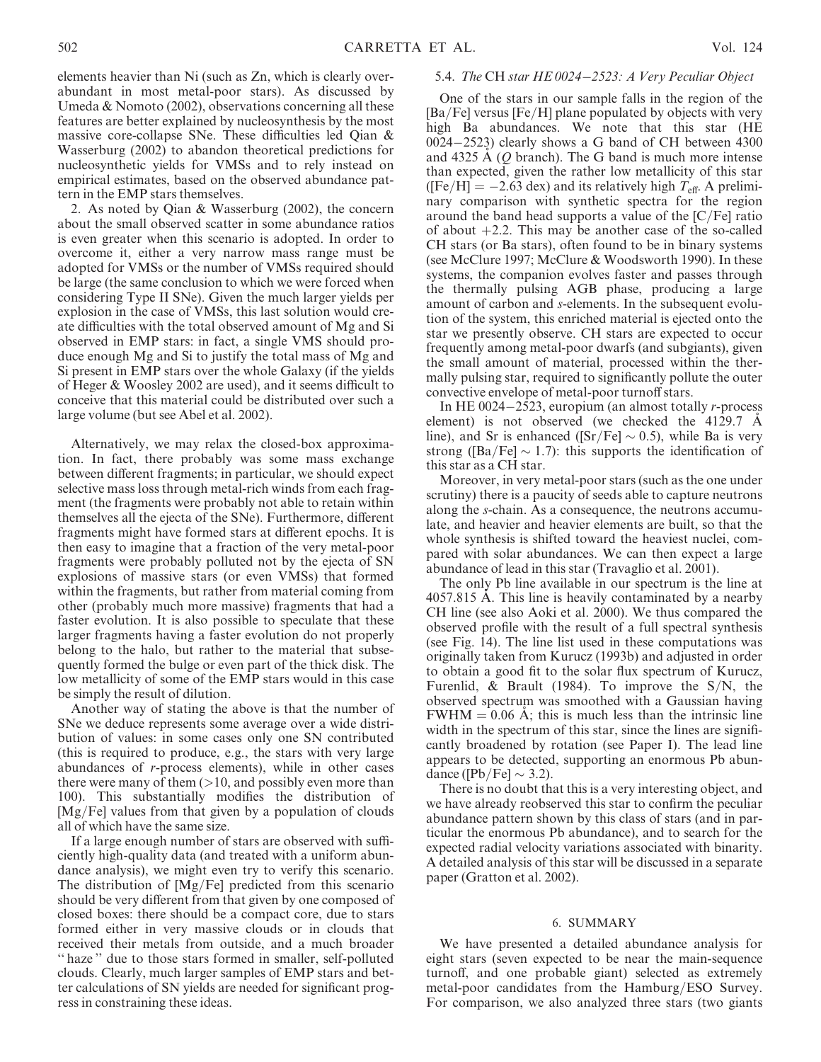elements heavier than Ni (such as Zn, which is clearly overabundant in most metal-poor stars). As discussed by Umeda & Nomoto (2002), observations concerning all these features are better explained by nucleosynthesis by the most massive core-collapse SNe. These difficulties led Qian & Wasserburg (2002) to abandon theoretical predictions for nucleosynthetic yields for VMSs and to rely instead on empirical estimates, based on the observed abundance pattern in the EMP stars themselves.

2. As noted by Qian & Wasserburg (2002), the concern about the small observed scatter in some abundance ratios is even greater when this scenario is adopted. In order to overcome it, either a very narrow mass range must be adopted for VMSs or the number of VMSs required should be large (the same conclusion to which we were forced when considering Type II SNe). Given the much larger yields per explosion in the case of VMSs, this last solution would create difficulties with the total observed amount of Mg and Si observed in EMP stars: in fact, a single VMS should produce enough Mg and Si to justify the total mass of Mg and Si present in EMP stars over the whole Galaxy (if the yields of Heger & Woosley 2002 are used), and it seems difficult to conceive that this material could be distributed over such a large volume (but see Abel et al. 2002).

Alternatively, we may relax the closed-box approximation. In fact, there probably was some mass exchange between different fragments; in particular, we should expect selective mass loss through metal-rich winds from each fragment (the fragments were probably not able to retain within themselves all the ejecta of the SNe). Furthermore, different fragments might have formed stars at different epochs. It is then easy to imagine that a fraction of the very metal-poor fragments were probably polluted not by the ejecta of SN explosions of massive stars (or even VMSs) that formed within the fragments, but rather from material coming from other (probably much more massive) fragments that had a faster evolution. It is also possible to speculate that these larger fragments having a faster evolution do not properly belong to the halo, but rather to the material that subsequently formed the bulge or even part of the thick disk. The low metallicity of some of the EMP stars would in this case be simply the result of dilution.

Another way of stating the above is that the number of SNe we deduce represents some average over a wide distribution of values: in some cases only one SN contributed (this is required to produce, e.g., the stars with very large abundances of r-process elements), while in other cases there were many of them  $(>10$ , and possibly even more than 100). This substantially modifies the distribution of [Mg/Fe] values from that given by a population of clouds all of which have the same size.

If a large enough number of stars are observed with sufficiently high-quality data (and treated with a uniform abundance analysis), we might even try to verify this scenario. The distribution of [Mg/Fe] predicted from this scenario should be very different from that given by one composed of closed boxes: there should be a compact core, due to stars formed either in very massive clouds or in clouds that received their metals from outside, and a much broader " haze" due to those stars formed in smaller, self-polluted clouds. Clearly, much larger samples of EMP stars and better calculations of SN yields are needed for significant progress in constraining these ideas.

# 5.4. The CH star HE 0024-2523: A Very Peculiar Object

One of the stars in our sample falls in the region of the [Ba/Fe] versus [Fe/H] plane populated by objects with very high Ba abundances. We note that this star (HE 0024-2523) clearly shows a G band of CH between 4300 and 4325 A  $(Q \text{ branch})$ . The G band is much more intense than expected, given the rather low metallicity of this star ([Fe/H] =  $-2.63$  dex) and its relatively high  $T_{\text{eff}}$ . A preliminary comparison with synthetic spectra for the region around the band head supports a value of the [C/Fe] ratio of about  $+2.2$ . This may be another case of the so-called CH stars (or Ba stars), often found to be in binary systems (see McClure 1997; McClure & Woodsworth 1990). In these systems, the companion evolves faster and passes through the thermally pulsing AGB phase, producing a large amount of carbon and s-elements. In the subsequent evolution of the system, this enriched material is ejected onto the star we presently observe. CH stars are expected to occur frequently among metal-poor dwarfs (and subgiants), given the small amount of material, processed within the thermally pulsing star, required to significantly pollute the outer convective envelope of metal-poor turnoff stars.

In HE 0024-2523, europium (an almost totally r-process element) is not observed (we checked the  $4129.7 \text{ A}$ line), and Sr is enhanced ([Sr/Fe]  $\sim$  0.5), while Ba is very strong ([Ba/Fe]  $\sim$  1.7): this supports the identification of this star as a CH star.

Moreover, in very metal-poor stars (such as the one under scrutiny) there is a paucity of seeds able to capture neutrons along the s-chain. As a consequence, the neutrons accumulate, and heavier and heavier elements are built, so that the whole synthesis is shifted toward the heaviest nuclei, compared with solar abundances. We can then expect a large abundance of lead in this star (Travaglio et al. 2001).

The only Pb line available in our spectrum is the line at 4057.815 A. This line is heavily contaminated by a nearby CH line (see also Aoki et al. 2000). We thus compared the observed profile with the result of a full spectral synthesis (see Fig. 14). The line list used in these computations was originally taken from Kurucz (1993b) and adjusted in order to obtain a good fit to the solar flux spectrum of Kurucz, Furenlid, & Brault (1984). To improve the  $S/N$ , the observed spectrum was smoothed with a Gaussian having  $FWHM = 0.06$  Å; this is much less than the intrinsic line width in the spectrum of this star, since the lines are significantly broadened by rotation (see Paper I). The lead line appears to be detected, supporting an enormous Pb abundance ([Pb/Fe]  $\sim$  3.2).

There is no doubt that this is a very interesting object, and we have already reobserved this star to confirm the peculiar abundance pattern shown by this class of stars (and in particular the enormous Pb abundance), and to search for the expected radial velocity variations associated with binarity. A detailed analysis of this star will be discussed in a separate paper (Gratton et al. 2002).

## 6. SUMMARY

We have presented a detailed abundance analysis for eight stars (seven expected to be near the main-sequence turnoff, and one probable giant) selected as extremely metal-poor candidates from the Hamburg/ESO Survey. For comparison, we also analyzed three stars (two giants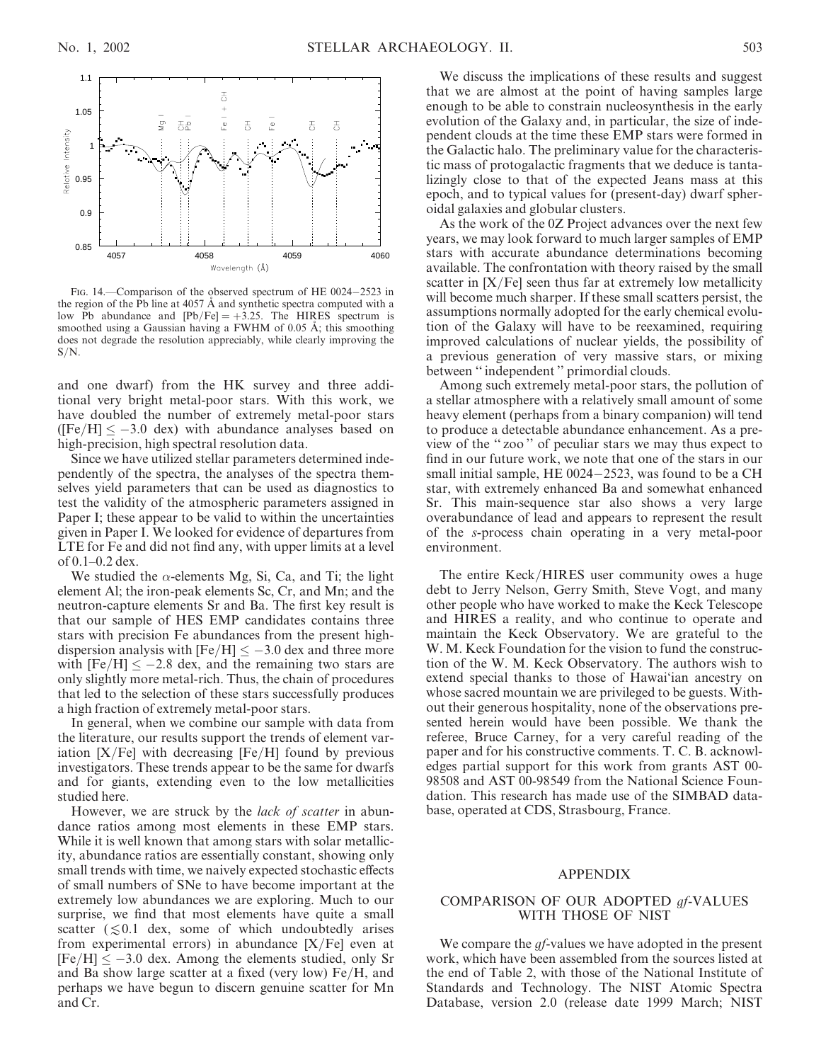

FIG. 14. Comparison of the observed spectrum of HE 0024-2523 in the region of the Pb line at  $4057 \text{ Å}$  and synthetic spectra computed with a low Pb abundance and  $[Pb/Fe] = +3.25$ . The HIRES spectrum is smoothed using a Gaussian having a FWHM of  $0.05$  Å; this smoothing does not degrade the resolution appreciably, while clearly improving the  $S/N$ .

and one dwarf) from the HK survey and three additional very bright metal-poor stars. With this work, we have doubled the number of extremely metal-poor stars ([Fe/H]  $\leq -3.0$  dex) with abundance analyses based on high-precision, high spectral resolution data.

Since we have utilized stellar parameters determined independently of the spectra, the analyses of the spectra themselves yield parameters that can be used as diagnostics to test the validity of the atmospheric parameters assigned in Paper I; these appear to be valid to within the uncertainties given in Paper I. We looked for evidence of departures from LTE for Fe and did not find any, with upper limits at a level of 0.1–0.2 dex.

We studied the  $\alpha$ -elements Mg, Si, Ca, and Ti; the light element Al; the iron-peak elements Sc, Cr, and Mn; and the neutron-capture elements Sr and Ba. The first key result is that our sample of HES EMP candidates contains three stars with precision Fe abundances from the present highdispersion analysis with  $[Fe/H] \le -3.0$  dex and three more with  $[Fe/H] \le -2.8$  dex, and the remaining two stars are only slightly more metal-rich. Thus, the chain of procedures that led to the selection of these stars successfully produces a high fraction of extremely metal-poor stars.

In general, when we combine our sample with data from the literature, our results support the trends of element variation  $[X/Fe]$  with decreasing  $[Fe/H]$  found by previous investigators. These trends appear to be the same for dwarfs and for giants, extending even to the low metallicities studied here.

However, we are struck by the lack of scatter in abundance ratios among most elements in these EMP stars. While it is well known that among stars with solar metallicity, abundance ratios are essentially constant, showing only small trends with time, we naively expected stochastic effects of small numbers of SNe to have become important at the extremely low abundances we are exploring. Much to our surprise, we find that most elements have quite a small scatter ( $\leq 0.1$  dex, some of which undoubtedly arises from experimental errors) in abundance  $[X/Fe]$  even at  $[Fe/H] \leq -3.0$  dex. Among the elements studied, only Sr and Ba show large scatter at a fixed (very low) Fe/H, and perhaps we have begun to discern genuine scatter for Mn and Cr.

We discuss the implications of these results and suggest that we are almost at the point of having samples large enough to be able to constrain nucleosynthesis in the early evolution of the Galaxy and, in particular, the size of independent clouds at the time these EMP stars were formed in the Galactic halo. The preliminary value for the characteristic mass of protogalactic fragments that we deduce is tantalizingly close to that of the expected Jeans mass at this epoch, and to typical values for (present-day) dwarf spheroidal galaxies and globular clusters.

As the work of the 0Z Project advances over the next few years, we may look forward to much larger samples of EMP stars with accurate abundance determinations becoming available. The confrontation with theory raised by the small scatter in  $[X/Fe]$  seen thus far at extremely low metallicity will become much sharper. If these small scatters persist, the assumptions normally adopted for the early chemical evolution of the Galaxy will have to be reexamined, requiring improved calculations of nuclear yields, the possibility of a previous generation of very massive stars, or mixing between '' independent '' primordial clouds.

Among such extremely metal-poor stars, the pollution of a stellar atmosphere with a relatively small amount of some heavy element (perhaps from a binary companion) will tend to produce a detectable abundance enhancement. As a preview of the '' zoo '' of peculiar stars we may thus expect to find in our future work, we note that one of the stars in our small initial sample, HE 0024-2523, was found to be a CH star, with extremely enhanced Ba and somewhat enhanced Sr. This main-sequence star also shows a very large overabundance of lead and appears to represent the result of the s-process chain operating in a very metal-poor environment.

The entire Keck/HIRES user community owes a huge debt to Jerry Nelson, Gerry Smith, Steve Vogt, and many other people who have worked to make the Keck Telescope and HIRES a reality, and who continue to operate and maintain the Keck Observatory. We are grateful to the W. M. Keck Foundation for the vision to fund the construction of the W. M. Keck Observatory. The authors wish to extend special thanks to those of Hawai'ian ancestry on whose sacred mountain we are privileged to be guests. Without their generous hospitality, none of the observations presented herein would have been possible. We thank the referee, Bruce Carney, for a very careful reading of the paper and for his constructive comments. T. C. B. acknowledges partial support for this work from grants AST 00- 98508 and AST 00-98549 from the National Science Foundation. This research has made use of the SIMBAD database, operated at CDS, Strasbourg, France.

## APPENDIX

# COMPARISON OF OUR ADOPTED gf-VALUES WITH THOSE OF NIST

We compare the *gf*-values we have adopted in the present work, which have been assembled from the sources listed at the end of Table 2, with those of the National Institute of Standards and Technology. The NIST Atomic Spectra Database, version 2.0 (release date 1999 March; NIST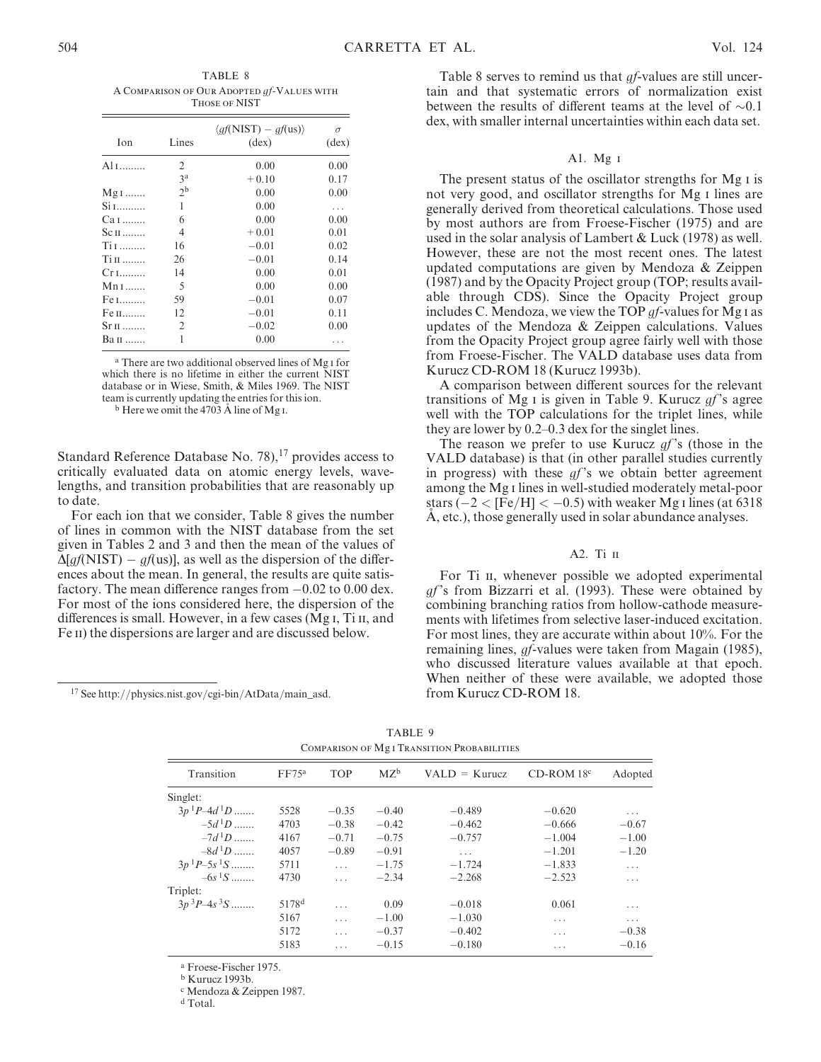TABLE 8 A Comparison of Our Adopted gf-Values with Those of NIST

| Ion       | Lines          | $\langle af(NIST) - af(us) \rangle$<br>$(\text{dex})$ | $\sigma$<br>$(\text{dex})$ |
|-----------|----------------|-------------------------------------------------------|----------------------------|
| Al 1      | $\overline{c}$ | 0.00                                                  | 0.00                       |
|           | 3 <sup>a</sup> | $+0.10$                                               | 0.17                       |
| $Mg1$     | 2 <sup>b</sup> | 0.00                                                  | 0.00                       |
| Si 1      | 1              | 0.00                                                  | .                          |
| Ca I      | 6              | 0.00                                                  | 0.00                       |
| $Sc_{II}$ | 4              | $+0.01$                                               | 0.01                       |
| Ti 1      | 16             | $-0.01$                                               | 0.02                       |
| $Ti II$   | 26             | $-0.01$                                               | 0.14                       |
| $Cr1$     | 14             | 0.00                                                  | 0.01                       |
| $Mn1$     | 5              | 0.00                                                  | 0.00                       |
| Fe 1      | 59             | $-0.01$                                               | 0.07                       |
| Fe II     | 12             | $-0.01$                                               | 0.11                       |
| $SrII$    | $\overline{c}$ | $-0.02$                                               | 0.00                       |
| Ва п      | 1              | 0.00                                                  | .                          |

<sup>a</sup> There are two additional observed lines of Mg i for which there is no lifetime in either the current NIST database or in Wiese, Smith, & Miles 1969. The NIST team is currently updating the entries for this ion.  $<sup>b</sup>$  Here we omit the 4703 Å line of Mg I.</sup>

Standard Reference Database No. 78), $^{17}$  provides access to critically evaluated data on atomic energy levels, wavelengths, and transition probabilities that are reasonably up to date.

For each ion that we consider, Table 8 gives the number of lines in common with the NIST database from the set given in Tables 2 and 3 and then the mean of the values of  $\Delta[gf(NIST) - gf(us)],$  as well as the dispersion of the differences about the mean. In general, the results are quite satisfactory. The mean difference ranges from  $-0.02$  to 0.00 dex. For most of the ions considered here, the dispersion of the differences is small. However, in a few cases (Mg  $I$ , Ti  $II$ , and Fe II) the dispersions are larger and are discussed below.

<sup>17</sup> See http://physics.nist.gov/cgi-bin/AtData/main\_asd.

A1. Mg i The present status of the oscillator strengths for Mg i is

Table 8 serves to remind us that *qf*-values are still uncertain and that systematic errors of normalization exist between the results of different teams at the level of  $\sim 0.1$ dex, with smaller internal uncertainties within each data set.

not very good, and oscillator strengths for Mg i lines are generally derived from theoretical calculations. Those used by most authors are from Froese-Fischer (1975) and are used in the solar analysis of Lambert & Luck (1978) as well. However, these are not the most recent ones. The latest updated computations are given by Mendoza & Zeippen (1987) and by the Opacity Project group (TOP; results available through CDS). Since the Opacity Project group includes C. Mendoza, we view the TOP  $gf$ -values for Mg I as updates of the Mendoza & Zeippen calculations. Values from the Opacity Project group agree fairly well with those from Froese-Fischer. The VALD database uses data from Kurucz CD-ROM 18 (Kurucz 1993b).

A comparison between different sources for the relevant transitions of Mg I is given in Table 9. Kurucz  $qf$ 's agree well with the TOP calculations for the triplet lines, while they are lower by 0.2–0.3 dex for the singlet lines.

The reason we prefer to use Kurucz  $qf$ 's (those in the VALD database) is that (in other parallel studies currently in progress) with these  $qf$ 's we obtain better agreement among the Mg i lines in well-studied moderately metal-poor stars  $(-2 <$  [Fe/H]  $< -0.5$ ) with weaker Mg I lines (at 6318)  $A$ , etc.), those generally used in solar abundance analyses.

# A2. Ti II

For Ti II, whenever possible we adopted experimental  $gf$ 's from Bizzarri et al. (1993). These were obtained by combining branching ratios from hollow-cathode measurements with lifetimes from selective laser-induced excitation. For most lines, they are accurate within about 10%. For the remaining lines, *gf*-values were taken from Magain (1985), who discussed literature values available at that epoch. When neither of these were available, we adopted those from Kurucz CD-ROM 18.

|                   |                   |            |         | <b>COMPARISON OF Mg I TRANSITION PROBABILITIES</b> |                 |          |
|-------------------|-------------------|------------|---------|----------------------------------------------------|-----------------|----------|
| Transition        | FF75 <sup>a</sup> | <b>TOP</b> | $MZ^b$  | $VALD = Kurucz$                                    | $CD$ -ROM $18c$ | Adopted  |
| Singlet:          |                   |            |         |                                                    |                 |          |
| $3p^{1}P-4d^{1}D$ | 5528              | $-0.35$    | $-0.40$ | $-0.489$                                           | $-0.620$        | .        |
| $-5d^{1}D$        | 4703              | $-0.38$    | $-0.42$ | $-0.462$                                           | $-0.666$        | $-0.67$  |
| $-7d^{1}D$        | 4167              | $-0.71$    | $-0.75$ | $-0.757$                                           | $-1.004$        | $-1.00$  |
| $-8d^{1}D$        | 4057              | $-0.89$    | $-0.91$ | .                                                  | $-1.201$        | $-1.20$  |
| $3p^{1}P-5s^{1}S$ | 5711              | $\cdots$   | $-1.75$ | $-1.724$                                           | $-1.833$        | $\cdots$ |
| $-6s1S$           | 4730              | .          | $-2.34$ | $-2.268$                                           | $-2.523$        | $\cdots$ |
| Triplet:          |                   |            |         |                                                    |                 |          |
| $3p^{3}P-4s^{3}S$ | 5178 <sup>d</sup> |            | 0.09    | $-0.018$                                           | 0.061           | .        |
|                   | 5167              | .          | $-1.00$ | $-1.030$                                           | .               | $\cdots$ |
|                   | 5172              | .          | $-0.37$ | $-0.402$                                           | .               | $-0.38$  |
|                   | 5183              | .          | $-0.15$ | $-0.180$                                           | .               | $-0.16$  |
|                   |                   |            |         |                                                    |                 |          |

| TABLE 9                                     |
|---------------------------------------------|
| COMPARISON OF Mg I TRANSITION PROBABILITIES |

<sup>a</sup> Froese-Fischer 1975.

<sup>b</sup> Kurucz 1993b.

<sup>c</sup> Mendoza & Zeippen 1987.

<sup>d</sup> Total.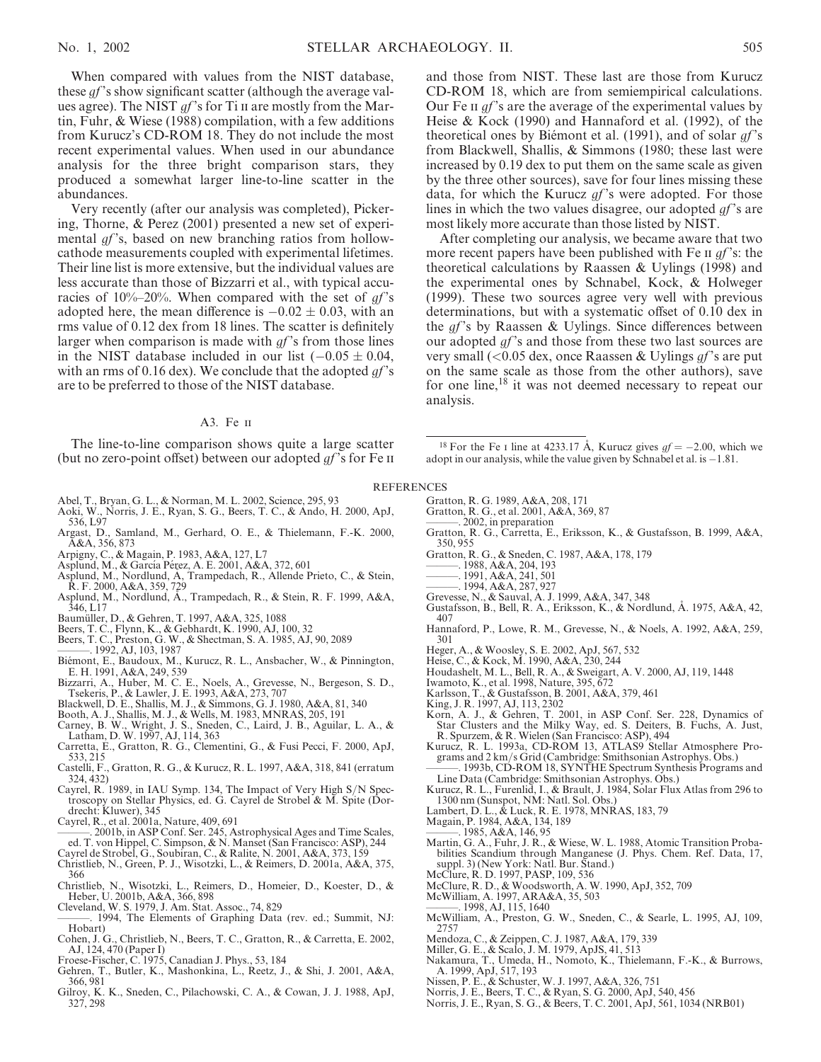When compared with values from the NIST database, these *qf*'s show significant scatter (although the average values agree). The NIST  $qf$ 's for Ti II are mostly from the Martin, Fuhr, & Wiese (1988) compilation, with a few additions from Kurucz's CD-ROM 18. They do not include the most recent experimental values. When used in our abundance analysis for the three bright comparison stars, they produced a somewhat larger line-to-line scatter in the abundances.

Very recently (after our analysis was completed), Pickering, Thorne, & Perez (2001) presented a new set of experimental  $gf$ 's, based on new branching ratios from hollowcathode measurements coupled with experimental lifetimes. Their line list is more extensive, but the individual values are less accurate than those of Bizzarri et al., with typical accuracies of  $10\% - 20\%$ . When compared with the set of  $gf$ 's adopted here, the mean difference is  $-0.02 \pm 0.03$ , with an rms value of 0.12 dex from 18 lines. The scatter is definitely larger when comparison is made with  $qf$ 's from those lines in the NIST database included in our list  $(-0.05 \pm 0.04,$ with an rms of 0.16 dex). We conclude that the adopted  $qf$ 's are to be preferred to those of the NIST database.

# A3. Fe ii

The line-to-line comparison shows quite a large scatter (but no zero-point offset) between our adopted  $gf$ 's for Fe  $\pi$ 

- Abel, T., Bryan, G. L., & Norman, M. L. 2002, Science, 295, 93 Aoki, W., Norris, J. E., Ryan, S. G., Beers, T. C., & Ando, H. 2000, ApJ,
- 536, L97
- Argast, D., Samland, M., Gerhard, O. E., & Thielemann, F.-K. 2000, A&A, 356, 873
- Arpigny, C., & Magain, P. 1983, A&A, 127, L7
- Asplund, M., & García Pérez, A. E. 2001, A&A, 372, 601
- Asplund, M., Nordlund, A, Trampedach, R., Allende Prieto, C., & Stein, R. F. 2000, A&A, 359, 729
- Asplund, M., Nordlund, Å., Trampedach, R., & Stein, R. F. 1999, A&A, 346, L17
- Baumüller, D., & Gehren, T. 1997, A&A, 325, 1088
- 
- Beers, T. C., Flynn, K., & Gebhardt, K. 1990, AJ, 100, 32 Beers, T. C., Preston, G. W., & Shectman, S. A. 1985, AJ, 90, 2089
- ———. 1992, AJ, 103, 1987
- Biémont, E., Baudoux, M., Kurucz, R. L., Ansbacher, W., & Pinnington, E. H. 1991, A&A, 249, 539
- Bizzarri, A., Huber, M. C. E., Noels, A., Grevesse, N., Bergeson, S. D., Tsekeris, P., & Lawler, J. E. 1993, A&A, 273, 707
- Blackwell, D. E., Shallis, M. J., & Simmons, G. J. 1980, A&A, 81, 340
- Booth, A. J., Shallis, M. J., & Wells, M. 1983, MNRAS, 205, 191
- Carney, B. W., Wright, J. S., Sneden, C., Laird, J. B., Aguilar, L. A., & Latham, D. W. 1997, AJ, 114, 363
- Carretta, E., Gratton, R. G., Clementini, G., & Fusi Pecci, F. 2000, ApJ, 533, 215
- Castelli, F., Gratton, R. G., & Kurucz, R. L. 1997, A&A, 318, 841 (erratum 324, 432)
- Cayrel, R. 1989, in IAU Symp. 134, The Impact of Very High S/N Spectroscopy on Stellar Physics, ed. G. Cayrel de Strobel & M. Spite (Dordrecht: Kluwer), 345
- Cayrel, R., et al. 2001a, Nature, 409, 691
- ———. 2001b, in ASP Conf. Ser. 245, Astrophysical Ages and Time Scales, ed. T. von Hippel, C. Simpson, & N. Manset (San Francisco: ASP), 244 Cayrel de Strobel, G., Soubiran, C., & Ralite, N. 2001, A&A, 373, 159
- 
- Christlieb, N., Green, P. J., Wisotzki, L., & Reimers, D. 2001a, A&A, 375, 366
- Christlieb, N., Wisotzki, L., Reimers, D., Homeier, D., Koester, D., & Heber, U. 2001b, A&A, 366, 898
- Cleveland, W. S. 1979, J. Am. Stat. Assoc., 74, 829 ———. 1994, The Elements of Graphing Data (rev. ed.; Summit, NJ:
- Hobart)
- Cohen, J. G., Christlieb, N., Beers, T. C., Gratton, R., & Carretta, E. 2002, AJ, 124, 470 (Paper I)
- Froese-Fischer, C. 1975, Canadian J. Phys., 53, 184
- Gehren, T., Butler, K., Mashonkina, L., Reetz, J., & Shi, J. 2001, A&A, 366, 981
- Gilroy, K. K., Sneden, C., Pilachowski, C. A., & Cowan, J. J. 1988, ApJ, 327, 298

and those from NIST. These last are those from Kurucz CD-ROM 18, which are from semiempirical calculations. Our Fe II  $gf$ 's are the average of the experimental values by Heise & Kock (1990) and Hannaford et al. (1992), of the theoretical ones by Biémont et al. (1991), and of solar  $gf$ 's from Blackwell, Shallis, & Simmons (1980; these last were increased by 0.19 dex to put them on the same scale as given by the three other sources), save for four lines missing these data, for which the Kurucz  $gf$ 's were adopted. For those lines in which the two values disagree, our adopted *qf*'s are most likely more accurate than those listed by NIST.

After completing our analysis, we became aware that two more recent papers have been published with Fe  $\pi$  *gf*'s: the theoretical calculations by Raassen & Uylings (1998) and the experimental ones by Schnabel, Kock, & Holweger (1999). These two sources agree very well with previous determinations, but with a systematic offset of 0.10 dex in the  $gf$ 's by Raassen & Uylings. Since differences between our adopted  $qf$ 's and those from these two last sources are very small (<0.05 dex, once Raassen & Uylings  $gf$ 's are put on the same scale as those from the other authors), save for one line,<sup>18</sup> it was not deemed necessary to repeat our analysis.

<sup>18</sup> For the Fe I line at 4233.17 Å, Kurucz gives  $gf = -2.00$ , which we adopt in our analysis, while the value given by Schnabel et al. is  $-1.81$ .

#### **REFERENCES**

- Gratton, R. G. 1989, A&A, 208, 171
- Gratton, R. G., et al. 2001, A&A, 369, 87
- ———. 2002, in preparation
- Gratton, R. G., Carretta, E., Eriksson, K., & Gustafsson, B. 1999, A&A, 350, 955
- Gratton, R. G., & Sneden, C. 1987, A&A, 178, 179
- ———. 1988, A&A, 204, 193
- ———. 1991, A&A, 241, 501
- ———. 1994, A&A, 287, 927 Grevesse, N., & Sauval, A. J. 1999, A&A, 347, 348
- Gustafsson, B., Bell, R. A., Eriksson, K., & Nordlund, A. 1975, A&A, 42, 407
- Hannaford, P., Lowe, R. M., Grevesse, N., & Noels, A. 1992, A&A, 259, 301
- Heger, A., & Woosley, S. E. 2002, ApJ, 567, 532
- Heise, C., & Kock, M. 1990, A&A, 230, 244
- Houdashelt, M. L., Bell, R. A., & Sweigart, A. V. 2000, AJ, 119, 1448 Iwamoto, K., et al. 1998, Nature, 395, 672
- Karlsson, T., & Gustafsson, B. 2001, A&A, 379, 461
- King, J. R. 1997, AJ, 113, 2302
- Korn, A. J., & Gehren, T. 2001, in ASP Conf. Ser. 228, Dynamics of Star Clusters and the Milky Way, ed. S. Deiters, B. Fuchs, A. Just,
- R. Spurzem, & R. Wielen (San Francisco: ASP), 494 Kurucz, R. L. 1993a, CD-ROM 13, ATLAS9 Stellar Atmosphere Programs and 2 km/s Grid (Cambridge: Smithsonian Astrophys. Obs.)
- ———. 1993b, CD-ROM 18, SYNTHE Spectrum Synthesis Programs and Line Data (Cambridge: Smithsonian Astrophys. Obs.)
- Kurucz, R. L., Furenlid, I., & Brault, J. 1984, Solar Flux Atlas from 296 to 1300 nm (Sunspot, NM: Natl. Sol. Obs.)
- Lambert, D. L., & Luck, R. E. 1978, MNRAS, 183, 79 Magain, P. 1984, A&A, 134, 189
- 
- $-$ . 1985, A&A, 146, 95
- Martin, G. A., Fuhr, J. R., & Wiese, W. L. 1988, Atomic Transition Probabilities Scandium through Manganese (J. Phys. Chem. Ref. Data, 17, suppl. 3) (New York: Natl. Bur. Stand.)
- McClure, R. D. 1997, PASP, 109, 536
- McClure, R. D., & Woodsworth, A. W. 1990, ApJ, 352, 709
- 
- McWilliam, A. 1997, ARA&A, 35, 503 ———. 1998, AJ, 115, 1640
- McWilliam, A., Preston, G. W., Sneden, C., & Searle, L. 1995, AJ, 109, 2757
- Mendoza, C., & Zeippen, C. J. 1987, A&A, 179, 339
- 
- Miller, G. E., & Scalo, J. M. 1979, ApJS, 41, 513 Nakamura, T., Umeda, H., Nomoto, K., Thielemann, F.-K., & Burrows, A. 1999, ApJ, 517, 193
- 
- 
- Nissen, P. E., & Schuster, W. J. 1997, A&A, 326, 751<br>Norris, J. E., Beers, T. C., & Ryan, S. G. 2000, ApJ, 540, 456<br>Norris, J. E., Ryan, S. G., & Beers, T. C. 2001, ApJ, 561, 1034 (NRB01)